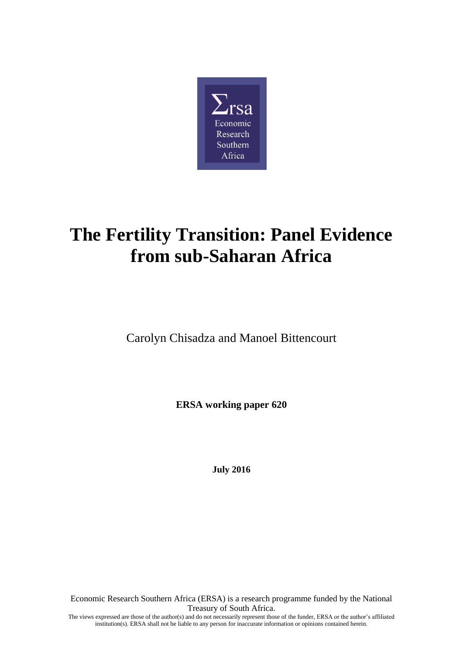

# **The Fertility Transition: Panel Evidence from sub-Saharan Africa**

Carolyn Chisadza and Manoel Bittencourt

**ERSA working paper 620**

**July 2016**

Economic Research Southern Africa (ERSA) is a research programme funded by the National Treasury of South Africa. The views expressed are those of the author(s) and do not necessarily represent those of the funder, ERSA or the author's affiliated institution(s). ERSA shall not be liable to any person for inaccurate information or opinions contained herein.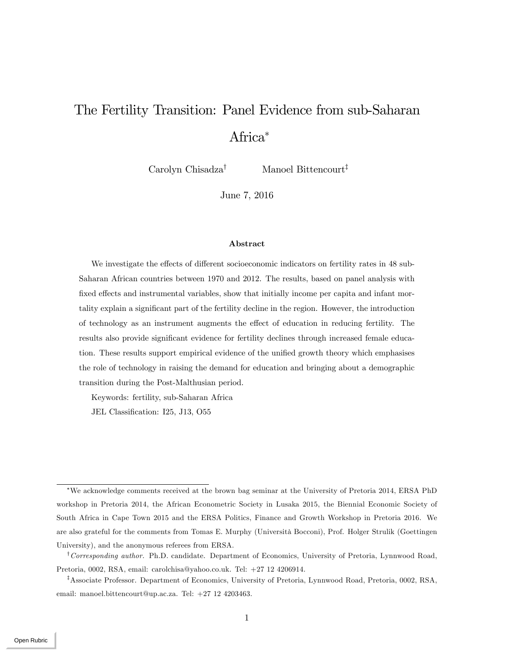## The Fertility Transition: Panel Evidence from sub-Saharan Africa

Carolyn Chisadza<sup>†</sup> Manoel Bittencourt<sup>‡</sup>

June 7, 2016

#### Abstract

We investigate the effects of different socioeconomic indicators on fertility rates in 48 sub-Saharan African countries between 1970 and 2012. The results, based on panel analysis with fixed effects and instrumental variables, show that initially income per capita and infant mortality explain a significant part of the fertility decline in the region. However, the introduction of technology as an instrument augments the effect of education in reducing fertility. The results also provide significant evidence for fertility declines through increased female education. These results support empirical evidence of the unified growth theory which emphasises the role of technology in raising the demand for education and bringing about a demographic transition during the Post-Malthusian period.

Keywords: fertility, sub-Saharan Africa

JEL Classification: I25, J13, O55

We acknowledge comments received at the brown bag seminar at the University of Pretoria 2014, ERSA PhD workshop in Pretoria 2014, the African Econometric Society in Lusaka 2015, the Biennial Economic Society of South Africa in Cape Town 2015 and the ERSA Politics, Finance and Growth Workshop in Pretoria 2016. We are also grateful for the comments from Tomas E. Murphy (Università Bocconi), Prof. Holger Strulik (Goettingen University), and the anonymous referees from ERSA.

<sup>&</sup>lt;sup>†</sup>Corresponding author. Ph.D. candidate. Department of Economics, University of Pretoria, Lynnwood Road, Pretoria, 0002, RSA, email: carolchisa@yahoo.co.uk. Tel: +27 12 4206914.

<sup>&</sup>lt;sup>‡</sup>Associate Professor. Department of Economics, University of Pretoria, Lynnwood Road, Pretoria, 0002, RSA, email: manoel.bittencourt@up.ac.za. Tel: +27 12 4203463.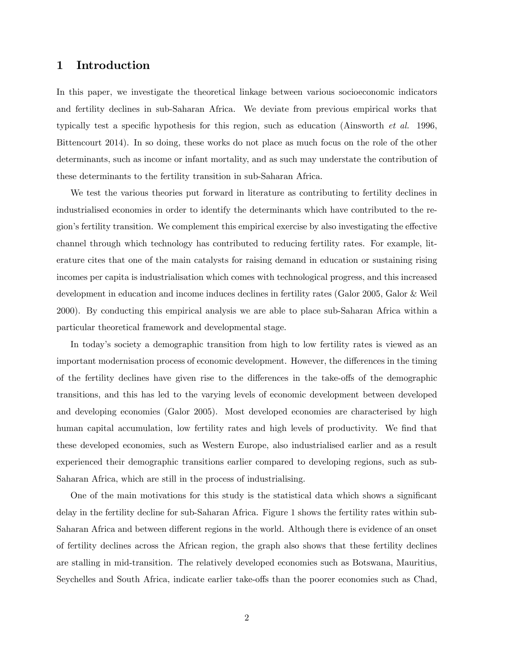## 1 Introduction

In this paper, we investigate the theoretical linkage between various socioeconomic indicators and fertility declines in sub-Saharan Africa. We deviate from previous empirical works that typically test a specific hypothesis for this region, such as education (Ainsworth *et al.* 1996, Bittencourt 2014). In so doing, these works do not place as much focus on the role of the other determinants, such as income or infant mortality, and as such may understate the contribution of these determinants to the fertility transition in sub-Saharan Africa.

We test the various theories put forward in literature as contributing to fertility declines in industrialised economies in order to identify the determinants which have contributed to the region's fertility transition. We complement this empirical exercise by also investigating the effective channel through which technology has contributed to reducing fertility rates. For example, literature cites that one of the main catalysts for raising demand in education or sustaining rising incomes per capita is industrialisation which comes with technological progress, and this increased development in education and income induces declines in fertility rates (Galor 2005, Galor & Weil 2000). By conducting this empirical analysis we are able to place sub-Saharan Africa within a particular theoretical framework and developmental stage.

In today's society a demographic transition from high to low fertility rates is viewed as an important modernisation process of economic development. However, the differences in the timing of the fertility declines have given rise to the differences in the take-offs of the demographic transitions, and this has led to the varying levels of economic development between developed and developing economies (Galor 2005). Most developed economies are characterised by high human capital accumulation, low fertility rates and high levels of productivity. We find that these developed economies, such as Western Europe, also industrialised earlier and as a result experienced their demographic transitions earlier compared to developing regions, such as sub-Saharan Africa, which are still in the process of industrialising.

One of the main motivations for this study is the statistical data which shows a significant delay in the fertility decline for sub-Saharan Africa. Figure 1 shows the fertility rates within sub-Saharan Africa and between different regions in the world. Although there is evidence of an onset of fertility declines across the African region, the graph also shows that these fertility declines are stalling in mid-transition. The relatively developed economies such as Botswana, Mauritius, Seychelles and South Africa, indicate earlier take-offs than the poorer economies such as Chad,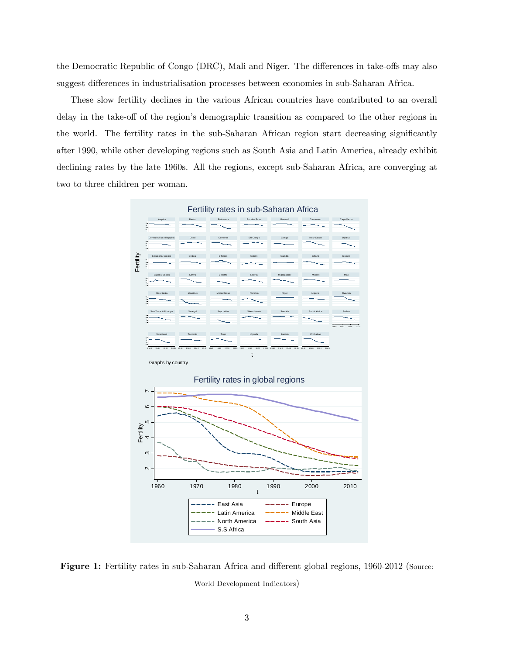the Democratic Republic of Congo (DRC), Mali and Niger. The differences in take-offs may also suggest differences in industrialisation processes between economies in sub-Saharan Africa.

These slow fertility declines in the various African countries have contributed to an overall delay in the take-off of the region's demographic transition as compared to the other regions in the world. The fertility rates in the sub-Saharan African region start decreasing significantly after 1990, while other developing regions such as South Asia and Latin America, already exhibit declining rates by the late 1960s. All the regions, except sub-Saharan Africa, are converging at two to three children per woman.



Figure 1: Fertility rates in sub-Saharan Africa and different global regions, 1960-2012 (Source: World Development Indicators)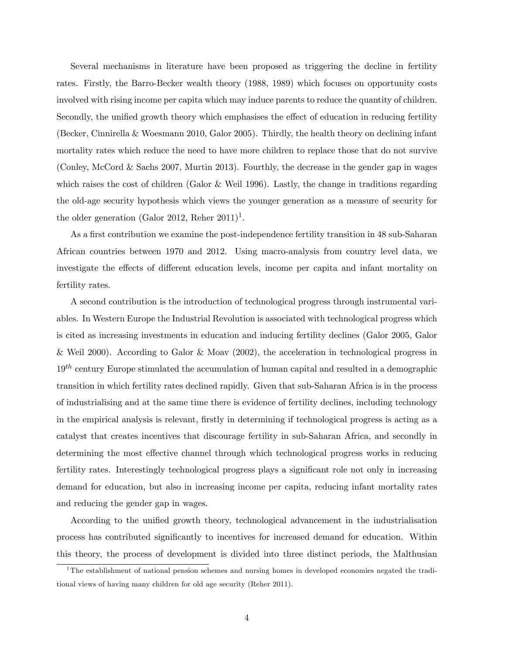Several mechanisms in literature have been proposed as triggering the decline in fertility rates. Firstly, the Barro-Becker wealth theory (1988, 1989) which focuses on opportunity costs involved with rising income per capita which may induce parents to reduce the quantity of children. Secondly, the unified growth theory which emphasises the effect of education in reducing fertility (Becker, Cinnirella & Woesmann 2010, Galor 2005). Thirdly, the health theory on declining infant mortality rates which reduce the need to have more children to replace those that do not survive (Conley, McCord & Sachs 2007, Murtin 2013). Fourthly, the decrease in the gender gap in wages which raises the cost of children (Galor & Weil 1996). Lastly, the change in traditions regarding the old-age security hypothesis which views the younger generation as a measure of security for the older generation (Galor 2012, Reher  $2011$ )<sup>1</sup>.

As a first contribution we examine the post-independence fertility transition in 48 sub-Saharan African countries between 1970 and 2012. Using macro-analysis from country level data, we investigate the effects of different education levels, income per capita and infant mortality on fertility rates.

A second contribution is the introduction of technological progress through instrumental variables. In Western Europe the Industrial Revolution is associated with technological progress which is cited as increasing investments in education and inducing fertility declines (Galor 2005, Galor & Weil 2000). According to Galor & Moav (2002), the acceleration in technological progress in  $19<sup>th</sup>$  century Europe stimulated the accumulation of human capital and resulted in a demographic transition in which fertility rates declined rapidly. Given that sub-Saharan Africa is in the process of industrialising and at the same time there is evidence of fertility declines, including technology in the empirical analysis is relevant, firstly in determining if technological progress is acting as a catalyst that creates incentives that discourage fertility in sub-Saharan Africa, and secondly in determining the most effective channel through which technological progress works in reducing fertility rates. Interestingly technological progress plays a significant role not only in increasing demand for education, but also in increasing income per capita, reducing infant mortality rates and reducing the gender gap in wages.

According to the unified growth theory, technological advancement in the industrialisation process has contributed significantly to incentives for increased demand for education. Within this theory, the process of development is divided into three distinct periods, the Malthusian

<sup>&</sup>lt;sup>1</sup>The establishment of national pension schemes and nursing homes in developed economies negated the traditional views of having many children for old age security (Reher 2011).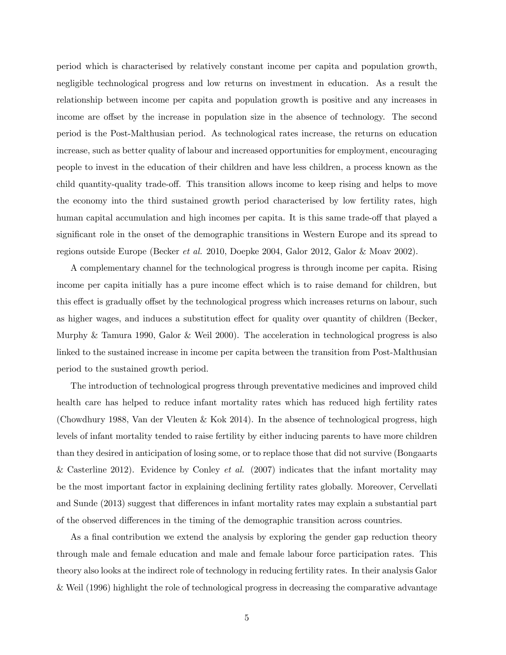period which is characterised by relatively constant income per capita and population growth, negligible technological progress and low returns on investment in education. As a result the relationship between income per capita and population growth is positive and any increases in income are offset by the increase in population size in the absence of technology. The second period is the Post-Malthusian period. As technological rates increase, the returns on education increase, such as better quality of labour and increased opportunities for employment, encouraging people to invest in the education of their children and have less children, a process known as the child quantity-quality trade-off. This transition allows income to keep rising and helps to move the economy into the third sustained growth period characterised by low fertility rates, high human capital accumulation and high incomes per capita. It is this same trade-off that played a significant role in the onset of the demographic transitions in Western Europe and its spread to regions outside Europe (Becker et al. 2010, Doepke 2004, Galor 2012, Galor & Moav 2002).

A complementary channel for the technological progress is through income per capita. Rising income per capita initially has a pure income effect which is to raise demand for children, but this effect is gradually offset by the technological progress which increases returns on labour, such as higher wages, and induces a substitution effect for quality over quantity of children (Becker, Murphy & Tamura 1990, Galor & Weil 2000). The acceleration in technological progress is also linked to the sustained increase in income per capita between the transition from Post-Malthusian period to the sustained growth period.

The introduction of technological progress through preventative medicines and improved child health care has helped to reduce infant mortality rates which has reduced high fertility rates (Chowdhury 1988, Van der Vleuten & Kok 2014). In the absence of technological progress, high levels of infant mortality tended to raise fertility by either inducing parents to have more children than they desired in anticipation of losing some, or to replace those that did not survive (Bongaarts & Casterline 2012). Evidence by Conley et al.  $(2007)$  indicates that the infant mortality may be the most important factor in explaining declining fertility rates globally. Moreover, Cervellati and Sunde (2013) suggest that differences in infant mortality rates may explain a substantial part of the observed differences in the timing of the demographic transition across countries.

As a final contribution we extend the analysis by exploring the gender gap reduction theory through male and female education and male and female labour force participation rates. This theory also looks at the indirect role of technology in reducing fertility rates. In their analysis Galor & Weil (1996) highlight the role of technological progress in decreasing the comparative advantage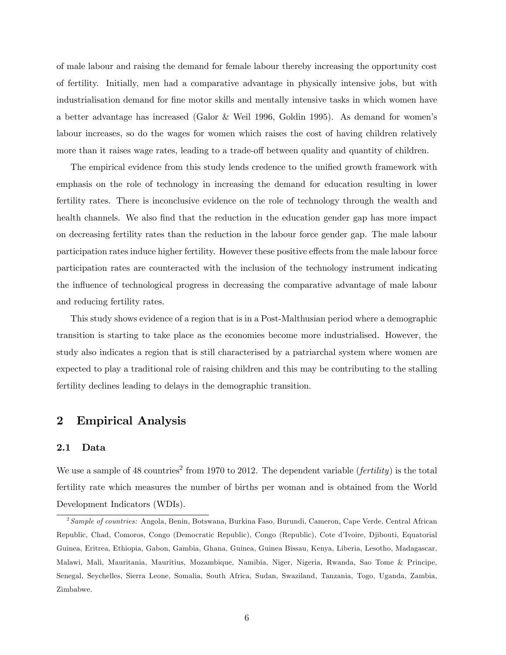of male labour and raising the demand for female labour thereby increasing the opportunity cost of fertility. Initially, men had a comparative advantage in physically intensive jobs, but with industrialisation demand for fine motor skills and mentally intensive tasks in which women have a better advantage has increased (Galor & Weil 1996, Goldin 1995). As demand for womenís labour increases, so do the wages for women which raises the cost of having children relatively more than it raises wage rates, leading to a trade-off between quality and quantity of children.

The empirical evidence from this study lends credence to the unified growth framework with emphasis on the role of technology in increasing the demand for education resulting in lower fertility rates. There is inconclusive evidence on the role of technology through the wealth and health channels. We also find that the reduction in the education gender gap has more impact on decreasing fertility rates than the reduction in the labour force gender gap. The male labour participation rates induce higher fertility. However these positive effects from the male labour force participation rates are counteracted with the inclusion of the technology instrument indicating the influence of technological progress in decreasing the comparative advantage of male labour and reducing fertility rates.

This study shows evidence of a region that is in a Post-Malthusian period where a demographic transition is starting to take place as the economies become more industrialised. However, the study also indicates a region that is still characterised by a patriarchal system where women are expected to play a traditional role of raising children and this may be contributing to the stalling fertility declines leading to delays in the demographic transition.

## 2 Empirical Analysis

## 2.1 Data

We use a sample of 48 countries<sup>2</sup> from 1970 to 2012. The dependent variable (*fertility*) is the total fertility rate which measures the number of births per woman and is obtained from the World Development Indicators (WDIs).

 $^2$ Sample of countries: Angola, Benin, Botswana, Burkina Faso, Burundi, Cameron, Cape Verde, Central African Republic, Chad, Comoros, Congo (Democratic Republic), Congo (Republic), Cote díIvoire, Djibouti, Equatorial Guinea, Eritrea, Ethiopia, Gabon, Gambia, Ghana, Guinea, Guinea Bissau, Kenya, Liberia, Lesotho, Madagascar, Malawi, Mali, Mauritania, Mauritius, Mozambique, Namibia, Niger, Nigeria, Rwanda, Sao Tome & Principe, Senegal, Seychelles, Sierra Leone, Somalia, South Africa, Sudan, Swaziland, Tanzania, Togo, Uganda, Zambia, Zimbabwe.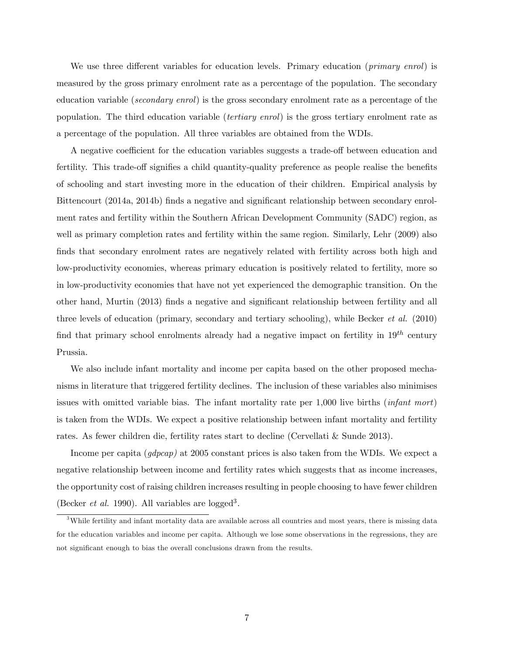We use three different variables for education levels. Primary education (*primary enrol*) is measured by the gross primary enrolment rate as a percentage of the population. The secondary education variable (secondary enrol) is the gross secondary enrolment rate as a percentage of the population. The third education variable (tertiary enrol) is the gross tertiary enrolment rate as a percentage of the population. All three variables are obtained from the WDIs.

A negative coefficient for the education variables suggests a trade-off between education and fertility. This trade-off signifies a child quantity-quality preference as people realise the benefits of schooling and start investing more in the education of their children. Empirical analysis by Bittencourt (2014a, 2014b) finds a negative and significant relationship between secondary enrolment rates and fertility within the Southern African Development Community (SADC) region, as well as primary completion rates and fertility within the same region. Similarly, Lehr (2009) also finds that secondary enrolment rates are negatively related with fertility across both high and low-productivity economies, whereas primary education is positively related to fertility, more so in low-productivity economies that have not yet experienced the demographic transition. On the other hand, Murtin (2013) Önds a negative and signiÖcant relationship between fertility and all three levels of education (primary, secondary and tertiary schooling), while Becker et al. (2010) find that primary school enrolments already had a negative impact on fertility in  $19^{th}$  century Prussia.

We also include infant mortality and income per capita based on the other proposed mechanisms in literature that triggered fertility declines. The inclusion of these variables also minimises issues with omitted variable bias. The infant mortality rate per 1,000 live births (infant mort) is taken from the WDIs. We expect a positive relationship between infant mortality and fertility rates. As fewer children die, fertility rates start to decline (Cervellati & Sunde 2013).

Income per capita (*gdpcap*) at 2005 constant prices is also taken from the WDIs. We expect a negative relationship between income and fertility rates which suggests that as income increases, the opportunity cost of raising children increases resulting in people choosing to have fewer children (Becker *et al.* 1990). All variables are logged<sup>3</sup>.

 $3$ While fertility and infant mortality data are available across all countries and most years, there is missing data for the education variables and income per capita. Although we lose some observations in the regressions, they are not significant enough to bias the overall conclusions drawn from the results.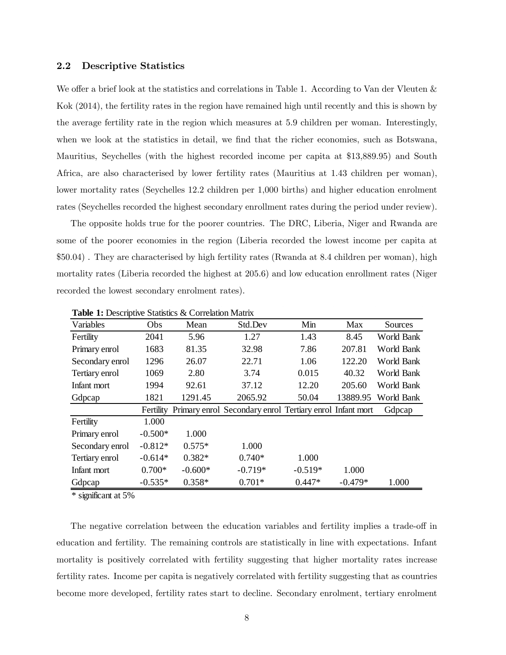## 2.2 Descriptive Statistics

We offer a brief look at the statistics and correlations in Table 1. According to Van der Vleuten  $\&$ Kok (2014), the fertility rates in the region have remained high until recently and this is shown by the average fertility rate in the region which measures at 5.9 children per woman. Interestingly, when we look at the statistics in detail, we find that the richer economies, such as Botswana, Mauritius, Seychelles (with the highest recorded income per capita at \$13,889.95) and South Africa, are also characterised by lower fertility rates (Mauritius at 1.43 children per woman), lower mortality rates (Seychelles 12.2 children per 1,000 births) and higher education enrolment rates (Seychelles recorded the highest secondary enrollment rates during the period under review).

The opposite holds true for the poorer countries. The DRC, Liberia, Niger and Rwanda are some of the poorer economies in the region (Liberia recorded the lowest income per capita at \$50.04) . They are characterised by high fertility rates (Rwanda at 8.4 children per woman), high mortality rates (Liberia recorded the highest at 205.6) and low education enrollment rates (Niger recorded the lowest secondary enrolment rates).

| Variables       | Obs       | Mean      | Std.Dev                                                  | Min       | Max       | Sources    |
|-----------------|-----------|-----------|----------------------------------------------------------|-----------|-----------|------------|
| Fertility       | 2041      | 5.96      | 1.27                                                     | 1.43      | 8.45      | World Bank |
| Primary enrol   | 1683      | 81.35     | 32.98                                                    | 7.86      | 207.81    | World Bank |
| Secondary enrol | 1296      | 26.07     | 22.71                                                    | 1.06      | 122.20    | World Bank |
| Tertiary enrol  | 1069      | 2.80      | 3.74                                                     | 0.015     | 40.32     | World Bank |
| Infant mort     | 1994      | 92.61     | 37.12                                                    | 12.20     | 205.60    | World Bank |
| Gdpcap          | 1821      | 1291.45   | 2065.92                                                  | 50.04     | 13889.95  | World Bank |
|                 | Fertility |           | Primary enrol Secondary enrol Tertiary enrol Infant mort |           |           | Gdpcap     |
| Fertility       | 1.000     |           |                                                          |           |           |            |
| Primary enrol   | $-0.500*$ | 1.000     |                                                          |           |           |            |
| Secondary enrol | $-0.812*$ | $0.575*$  | 1.000                                                    |           |           |            |
| Tertiary enrol  | $-0.614*$ | $0.382*$  | $0.740*$                                                 | 1.000     |           |            |
| Infant mort     | $0.700*$  | $-0.600*$ | $-0.719*$                                                | $-0.519*$ | 1.000     |            |
| Gdpcap          | $-0.535*$ | $0.358*$  | $0.701*$                                                 | $0.447*$  | $-0.479*$ | 1.000      |

**Table 1:** Descriptive Statistics & Correlation Matrix

\* significant at 5%

The negative correlation between the education variables and fertility implies a trade-off in education and fertility. The remaining controls are statistically in line with expectations. Infant mortality is positively correlated with fertility suggesting that higher mortality rates increase fertility rates. Income per capita is negatively correlated with fertility suggesting that as countries become more developed, fertility rates start to decline. Secondary enrolment, tertiary enrolment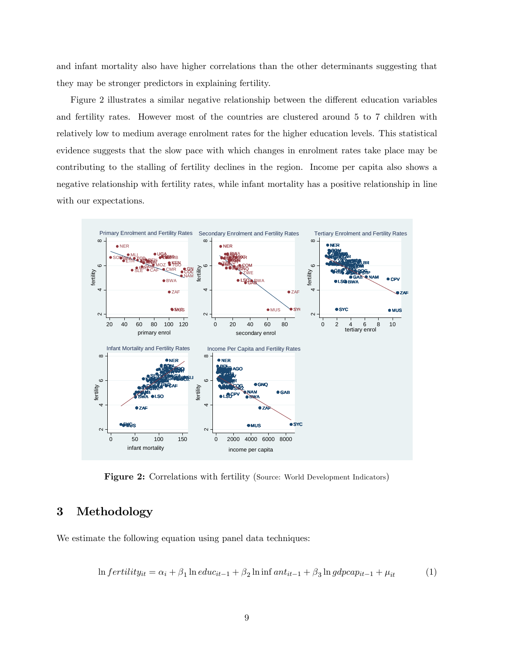and infant mortality also have higher correlations than the other determinants suggesting that they may be stronger predictors in explaining fertility.

Figure 2 illustrates a similar negative relationship between the different education variables and fertility rates. However most of the countries are clustered around 5 to 7 children with relatively low to medium average enrolment rates for the higher education levels. This statistical evidence suggests that the slow pace with which changes in enrolment rates take place may be contributing to the stalling of fertility declines in the region. Income per capita also shows a negative relationship with fertility rates, while infant mortality has a positive relationship in line with our expectations.



Figure 2: Correlations with fertility (Source: World Development Indicators)

## 3 Methodology

We estimate the following equation using panel data techniques:

$$
\ln fertility_{it} = \alpha_i + \beta_1 \ln educ_{it-1} + \beta_2 \ln \inf ant_{it-1} + \beta_3 \ln gdpcap_{it-1} + \mu_{it}
$$
 (1)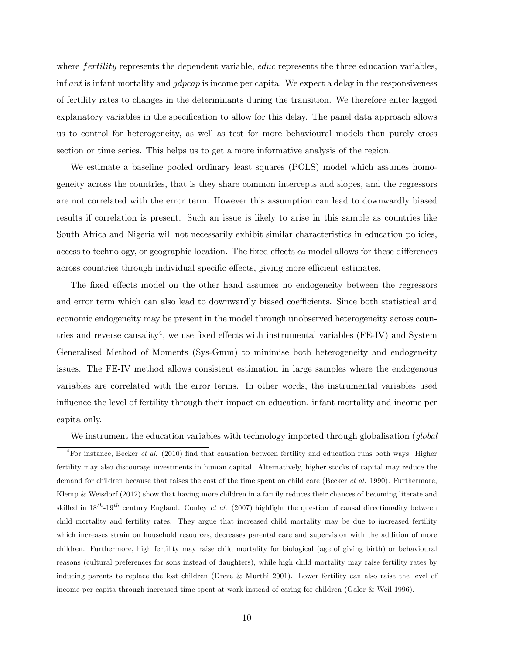where *fertility* represents the dependent variable, *educ* represents the three education variables, inf ant is infant mortality and gdpcap is income per capita. We expect a delay in the responsiveness of fertility rates to changes in the determinants during the transition. We therefore enter lagged explanatory variables in the specification to allow for this delay. The panel data approach allows us to control for heterogeneity, as well as test for more behavioural models than purely cross section or time series. This helps us to get a more informative analysis of the region.

We estimate a baseline pooled ordinary least squares (POLS) model which assumes homogeneity across the countries, that is they share common intercepts and slopes, and the regressors are not correlated with the error term. However this assumption can lead to downwardly biased results if correlation is present. Such an issue is likely to arise in this sample as countries like South Africa and Nigeria will not necessarily exhibit similar characteristics in education policies, access to technology, or geographic location. The fixed effects  $\alpha_i$  model allows for these differences across countries through individual specific effects, giving more efficient estimates.

The fixed effects model on the other hand assumes no endogeneity between the regressors and error term which can also lead to downwardly biased coefficients. Since both statistical and economic endogeneity may be present in the model through unobserved heterogeneity across countries and reverse causality<sup>4</sup>, we use fixed effects with instrumental variables (FE-IV) and System Generalised Method of Moments (Sys-Gmm) to minimise both heterogeneity and endogeneity issues. The FE-IV method allows consistent estimation in large samples where the endogenous variables are correlated with the error terms. In other words, the instrumental variables used influence the level of fertility through their impact on education, infant mortality and income per capita only.

We instrument the education variables with technology imported through globalisation (*global*)

 $^{4}$ For instance, Becker *et al.* (2010) find that causation between fertility and education runs both ways. Higher fertility may also discourage investments in human capital. Alternatively, higher stocks of capital may reduce the demand for children because that raises the cost of the time spent on child care (Becker et al. 1990). Furthermore, Klemp & Weisdorf (2012) show that having more children in a family reduces their chances of becoming literate and skilled in  $18^{th}$ -19<sup>th</sup> century England. Conley *et al.* (2007) highlight the question of causal directionality between child mortality and fertility rates. They argue that increased child mortality may be due to increased fertility which increases strain on household resources, decreases parental care and supervision with the addition of more children. Furthermore, high fertility may raise child mortality for biological (age of giving birth) or behavioural reasons (cultural preferences for sons instead of daughters), while high child mortality may raise fertility rates by inducing parents to replace the lost children (Dreze & Murthi 2001). Lower fertility can also raise the level of income per capita through increased time spent at work instead of caring for children (Galor & Weil 1996).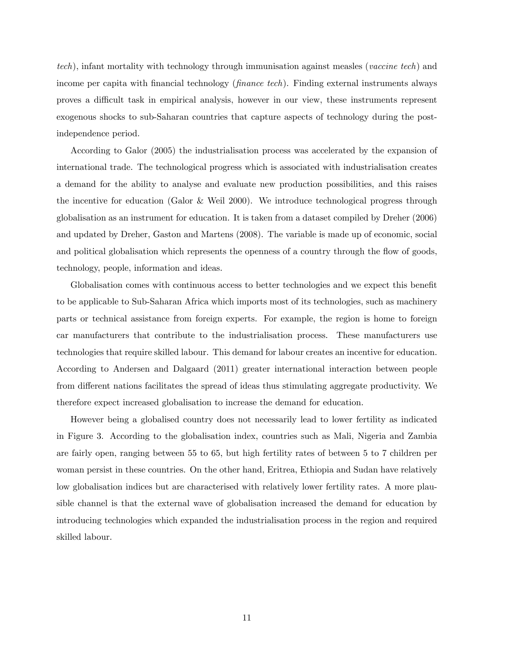tech), infant mortality with technology through immunisation against measles (vaccine tech) and income per capita with financial technology ( $\emph{finance tech}$ ). Finding external instruments always proves a difficult task in empirical analysis, however in our view, these instruments represent exogenous shocks to sub-Saharan countries that capture aspects of technology during the postindependence period.

According to Galor (2005) the industrialisation process was accelerated by the expansion of international trade. The technological progress which is associated with industrialisation creates a demand for the ability to analyse and evaluate new production possibilities, and this raises the incentive for education (Galor & Weil 2000). We introduce technological progress through globalisation as an instrument for education. It is taken from a dataset compiled by Dreher (2006) and updated by Dreher, Gaston and Martens (2008). The variable is made up of economic, social and political globalisation which represents the openness of a country through the flow of goods, technology, people, information and ideas.

Globalisation comes with continuous access to better technologies and we expect this benefit to be applicable to Sub-Saharan Africa which imports most of its technologies, such as machinery parts or technical assistance from foreign experts. For example, the region is home to foreign car manufacturers that contribute to the industrialisation process. These manufacturers use technologies that require skilled labour. This demand for labour creates an incentive for education. According to Andersen and Dalgaard (2011) greater international interaction between people from different nations facilitates the spread of ideas thus stimulating aggregate productivity. We therefore expect increased globalisation to increase the demand for education.

However being a globalised country does not necessarily lead to lower fertility as indicated in Figure 3. According to the globalisation index, countries such as Mali, Nigeria and Zambia are fairly open, ranging between 55 to 65, but high fertility rates of between 5 to 7 children per woman persist in these countries. On the other hand, Eritrea, Ethiopia and Sudan have relatively low globalisation indices but are characterised with relatively lower fertility rates. A more plausible channel is that the external wave of globalisation increased the demand for education by introducing technologies which expanded the industrialisation process in the region and required skilled labour.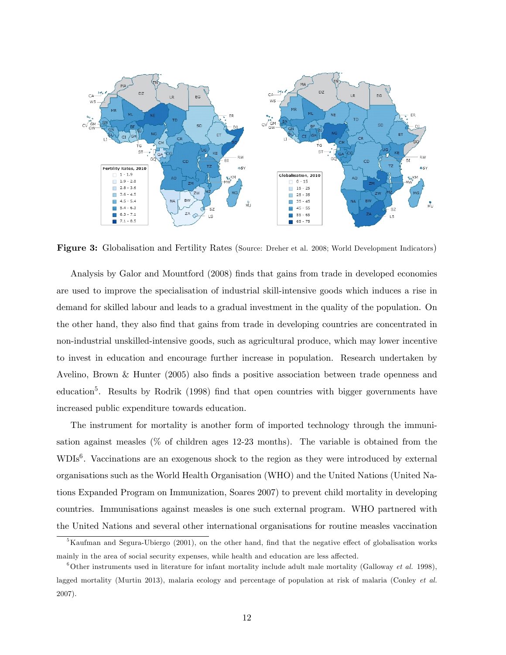

Figure 3: Globalisation and Fertility Rates (Source: Dreher et al. 2008; World Development Indicators)

Analysis by Galor and Mountford (2008) Önds that gains from trade in developed economies are used to improve the specialisation of industrial skill-intensive goods which induces a rise in demand for skilled labour and leads to a gradual investment in the quality of the population. On the other hand, they also Önd that gains from trade in developing countries are concentrated in non-industrial unskilled-intensive goods, such as agricultural produce, which may lower incentive to invest in education and encourage further increase in population. Research undertaken by Avelino, Brown & Hunter  $(2005)$  also finds a positive association between trade openness and education<sup>5</sup>. Results by Rodrik (1998) find that open countries with bigger governments have increased public expenditure towards education.

The instrument for mortality is another form of imported technology through the immunisation against measles (% of children ages 12-23 months). The variable is obtained from the WDIs<sup>6</sup>. Vaccinations are an exogenous shock to the region as they were introduced by external organisations such as the World Health Organisation (WHO) and the United Nations (United Nations Expanded Program on Immunization, Soares 2007) to prevent child mortality in developing countries. Immunisations against measles is one such external program. WHO partnered with the United Nations and several other international organisations for routine measles vaccination

 $5$ Kaufman and Segura-Ubiergo (2001), on the other hand, find that the negative effect of globalisation works mainly in the area of social security expenses, while health and education are less affected.

<sup>&</sup>lt;sup>6</sup>Other instruments used in literature for infant mortality include adult male mortality (Galloway *et al.* 1998), lagged mortality (Murtin 2013), malaria ecology and percentage of population at risk of malaria (Conley *et al.*) 2007).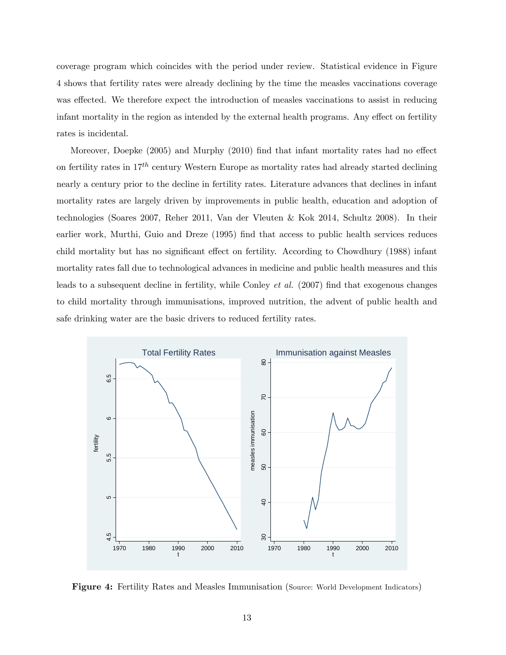coverage program which coincides with the period under review. Statistical evidence in Figure 4 shows that fertility rates were already declining by the time the measles vaccinations coverage was effected. We therefore expect the introduction of measles vaccinations to assist in reducing infant mortality in the region as intended by the external health programs. Any effect on fertility rates is incidental.

Moreover, Doepke  $(2005)$  and Murphy  $(2010)$  find that infant mortality rates had no effect on fertility rates in  $17^{th}$  century Western Europe as mortality rates had already started declining nearly a century prior to the decline in fertility rates. Literature advances that declines in infant mortality rates are largely driven by improvements in public health, education and adoption of technologies (Soares 2007, Reher 2011, Van der Vleuten & Kok 2014, Schultz 2008). In their earlier work, Murthi, Guio and Dreze (1995) find that access to public health services reduces child mortality but has no significant effect on fertility. According to Chowdhury (1988) infant mortality rates fall due to technological advances in medicine and public health measures and this leads to a subsequent decline in fertility, while Conley *et al.* (2007) find that exogenous changes to child mortality through immunisations, improved nutrition, the advent of public health and safe drinking water are the basic drivers to reduced fertility rates.



Figure 4: Fertility Rates and Measles Immunisation (Source: World Development Indicators)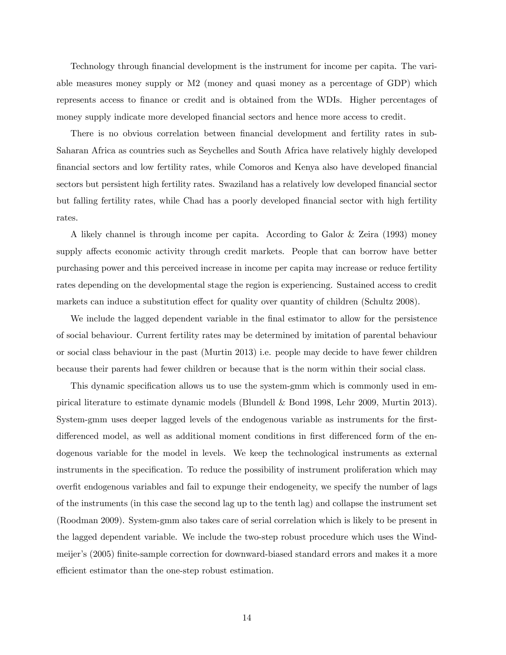Technology through financial development is the instrument for income per capita. The variable measures money supply or M2 (money and quasi money as a percentage of GDP) which represents access to finance or credit and is obtained from the WDIs. Higher percentages of money supply indicate more developed financial sectors and hence more access to credit.

There is no obvious correlation between financial development and fertility rates in sub-Saharan Africa as countries such as Seychelles and South Africa have relatively highly developed Önancial sectors and low fertility rates, while Comoros and Kenya also have developed Önancial sectors but persistent high fertility rates. Swaziland has a relatively low developed financial sector but falling fertility rates, while Chad has a poorly developed financial sector with high fertility rates.

A likely channel is through income per capita. According to Galor & Zeira (1993) money supply affects economic activity through credit markets. People that can borrow have better purchasing power and this perceived increase in income per capita may increase or reduce fertility rates depending on the developmental stage the region is experiencing. Sustained access to credit markets can induce a substitution effect for quality over quantity of children (Schultz 2008).

We include the lagged dependent variable in the final estimator to allow for the persistence of social behaviour. Current fertility rates may be determined by imitation of parental behaviour or social class behaviour in the past (Murtin 2013) i.e. people may decide to have fewer children because their parents had fewer children or because that is the norm within their social class.

This dynamic specification allows us to use the system-gmm which is commonly used in empirical literature to estimate dynamic models (Blundell & Bond 1998, Lehr 2009, Murtin 2013). System-gmm uses deeper lagged levels of the endogenous variable as instruments for the firstdifferenced model, as well as additional moment conditions in first differenced form of the endogenous variable for the model in levels. We keep the technological instruments as external instruments in the specification. To reduce the possibility of instrument proliferation which may overfit endogenous variables and fail to expunge their endogeneity, we specify the number of lags of the instruments (in this case the second lag up to the tenth lag) and collapse the instrument set (Roodman 2009). System-gmm also takes care of serial correlation which is likely to be present in the lagged dependent variable. We include the two-step robust procedure which uses the Windmeijer's (2005) finite-sample correction for downward-biased standard errors and makes it a more efficient estimator than the one-step robust estimation.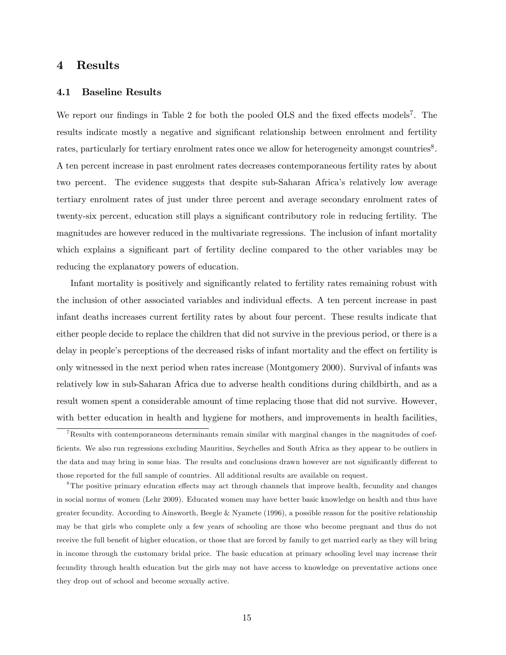## 4 Results

## 4.1 Baseline Results

We report our findings in Table 2 for both the pooled OLS and the fixed effects models<sup>7</sup>. The results indicate mostly a negative and significant relationship between enrolment and fertility rates, particularly for tertiary enrolment rates once we allow for heterogeneity amongst countries<sup>8</sup>. A ten percent increase in past enrolment rates decreases contemporaneous fertility rates by about two percent. The evidence suggests that despite sub-Saharan Africa's relatively low average tertiary enrolment rates of just under three percent and average secondary enrolment rates of twenty-six percent, education still plays a significant contributory role in reducing fertility. The magnitudes are however reduced in the multivariate regressions. The inclusion of infant mortality which explains a significant part of fertility decline compared to the other variables may be reducing the explanatory powers of education.

Infant mortality is positively and significantly related to fertility rates remaining robust with the inclusion of other associated variables and individual effects. A ten percent increase in past infant deaths increases current fertility rates by about four percent. These results indicate that either people decide to replace the children that did not survive in the previous period, or there is a delay in people's perceptions of the decreased risks of infant mortality and the effect on fertility is only witnessed in the next period when rates increase (Montgomery 2000). Survival of infants was relatively low in sub-Saharan Africa due to adverse health conditions during childbirth, and as a result women spent a considerable amount of time replacing those that did not survive. However, with better education in health and hygiene for mothers, and improvements in health facilities,

<sup>7</sup>Results with contemporaneous determinants remain similar with marginal changes in the magnitudes of coef-Öcients. We also run regressions excluding Mauritius, Seychelles and South Africa as they appear to be outliers in the data and may bring in some bias. The results and conclusions drawn however are not significantly different to those reported for the full sample of countries. All additional results are available on request.

<sup>&</sup>lt;sup>8</sup>The positive primary education effects may act through channels that improve health, fecundity and changes in social norms of women (Lehr 2009). Educated women may have better basic knowledge on health and thus have greater fecundity. According to Ainsworth, Beegle & Nyamete (1996), a possible reason for the positive relationship may be that girls who complete only a few years of schooling are those who become pregnant and thus do not receive the full benefit of higher education, or those that are forced by family to get married early as they will bring in income through the customary bridal price. The basic education at primary schooling level may increase their fecundity through health education but the girls may not have access to knowledge on preventative actions once they drop out of school and become sexually active.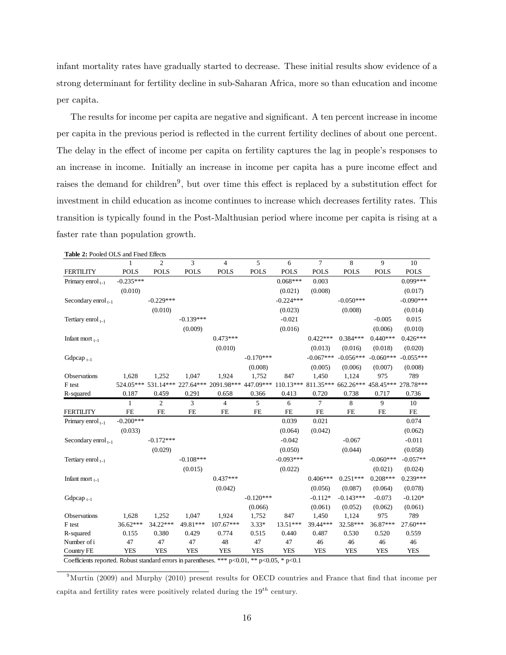infant mortality rates have gradually started to decrease. These initial results show evidence of a strong determinant for fertility decline in sub-Saharan Africa, more so than education and income per capita.

The results for income per capita are negative and significant. A ten percent increase in income per capita in the previous period is reáected in the current fertility declines of about one percent. The delay in the effect of income per capita on fertility captures the lag in people's responses to an increase in income. Initially an increase in income per capita has a pure income effect and raises the demand for children<sup>9</sup>, but over time this effect is replaced by a substitution effect for investment in child education as income continues to increase which decreases fertility rates. This transition is typically found in the Post-Malthusian period where income per capita is rising at a faster rate than population growth.

| Table 2: Pooled OLS and Fixed Effects |                                                                                                      |                |             |                                          |                                                             |             |                |             |             |             |  |
|---------------------------------------|------------------------------------------------------------------------------------------------------|----------------|-------------|------------------------------------------|-------------------------------------------------------------|-------------|----------------|-------------|-------------|-------------|--|
|                                       | 1                                                                                                    | $\overline{c}$ | 3           | $\overline{4}$                           | 5                                                           | 6           | $\tau$         | 8           | 9           | 10          |  |
| <b>FERTILITY</b>                      | <b>POLS</b>                                                                                          | <b>POLS</b>    | <b>POLS</b> | <b>POLS</b>                              | <b>POLS</b>                                                 | <b>POLS</b> | <b>POLS</b>    | <b>POLS</b> | <b>POLS</b> | <b>POLS</b> |  |
| Primary enrol $_{t-1}$                | $-0.235***$                                                                                          |                |             |                                          |                                                             | $0.068***$  | 0.003          |             |             | $0.099***$  |  |
|                                       | (0.010)                                                                                              |                |             |                                          |                                                             | (0.021)     | (0.008)        |             |             | (0.017)     |  |
| Secondary enrol <sub>t-1</sub>        |                                                                                                      | $-0.229***$    |             |                                          |                                                             | $-0.224***$ |                | $-0.050***$ |             | $-0.090***$ |  |
|                                       |                                                                                                      | (0.010)        |             |                                          |                                                             | (0.023)     |                | (0.008)     |             | (0.014)     |  |
| Tertiary enrol $_{t-1}$               |                                                                                                      |                | $-0.139***$ |                                          |                                                             | $-0.021$    |                |             | $-0.005$    | 0.015       |  |
|                                       |                                                                                                      |                | (0.009)     |                                          |                                                             | (0.016)     |                |             | (0.006)     | (0.010)     |  |
| Infant mort $_{t-1}$                  |                                                                                                      |                |             | $0.473***$                               |                                                             |             | $0.422***$     | $0.384***$  | $0.440***$  | $0.426***$  |  |
|                                       |                                                                                                      |                |             | (0.010)                                  |                                                             |             | (0.013)        | (0.016)     | (0.018)     | (0.020)     |  |
| Gdpcap $_{t-1}$                       |                                                                                                      |                |             |                                          | $-0.170***$                                                 |             | $-0.067***$    | $-0.056***$ | $-0.060***$ | $-0.055***$ |  |
|                                       |                                                                                                      |                |             |                                          | (0.008)                                                     |             | (0.005)        | (0.006)     | (0.007)     | (0.008)     |  |
| Observations                          | 1,628                                                                                                | 1,252          | 1,047       | 1,924                                    | 1,752                                                       | 847         | 1,450          | 1,124       | 975         | 789         |  |
| F test                                |                                                                                                      |                |             | 524.05*** 531.14*** 227.64*** 2091.98*** | 447.09*** 110.13*** 811.35*** 662.26*** 458.45*** 278.78*** |             |                |             |             |             |  |
| R-squared                             | 0.187                                                                                                | 0.459          | 0.291       | 0.658                                    | 0.366                                                       | 0.413       | 0.720          | 0.738       | 0.717       | 0.736       |  |
|                                       | $\mathbf{1}$                                                                                         | $\overline{c}$ | 3           | 4                                        | 5                                                           | 6           | $\overline{7}$ | 8           | 9           | 10          |  |
| <b>FERTILITY</b>                      | <b>FE</b>                                                                                            | <b>FE</b>      | FE          | <b>FE</b>                                | ${\rm FE}$                                                  | <b>FE</b>   | ${\rm FE}$     | FE          | FE          | FE          |  |
| Primary enrol $_{t-1}$                | $-0.200***$                                                                                          |                |             |                                          |                                                             | 0.039       | 0.021          |             |             | 0.074       |  |
|                                       | (0.033)                                                                                              |                |             |                                          |                                                             | (0.064)     | (0.042)        |             |             | (0.062)     |  |
| Secondary enrol <sub>t-1</sub>        |                                                                                                      | $-0.172***$    |             |                                          |                                                             | $-0.042$    |                | $-0.067$    |             | $-0.011$    |  |
|                                       |                                                                                                      | (0.029)        |             |                                          |                                                             | (0.050)     |                | (0.044)     |             | (0.058)     |  |
| Tertiary enrol $_{1-1}$               |                                                                                                      |                | $-0.108***$ |                                          |                                                             | $-0.093***$ |                |             | $-0.060***$ | $-0.057**$  |  |
|                                       |                                                                                                      |                | (0.015)     |                                          |                                                             | (0.022)     |                |             | (0.021)     | (0.024)     |  |
| Infant mort $_{t-1}$                  |                                                                                                      |                |             | $0.437***$                               |                                                             |             | $0.406***$     | $0.251***$  | $0.208***$  | $0.239***$  |  |
|                                       |                                                                                                      |                |             | (0.042)                                  |                                                             |             | (0.056)        | (0.087)     | (0.064)     | (0.078)     |  |
| Gdpcap <sub>1-1</sub>                 |                                                                                                      |                |             |                                          | $-0.120***$                                                 |             | $-0.112*$      | $-0.143***$ | $-0.073$    | $-0.120*$   |  |
|                                       |                                                                                                      |                |             |                                          | (0.066)                                                     |             | (0.061)        | (0.052)     | (0.062)     | (0.061)     |  |
| Observations                          | 1,628                                                                                                | 1,252          | 1,047       | 1,924                                    | 1,752                                                       | 847         | 1,450          | 1,124       | 975         | 789         |  |
| F test                                | $36.62***$                                                                                           | 34.22***       | 49.81***    | 107.67***                                | $3.33*$                                                     | $13.51***$  | 39.44***       | 32.58***    | 36.87***    | 27.60***    |  |
| R-squared                             | 0.155                                                                                                | 0.380          | 0.429       | 0.774                                    | 0.515                                                       | 0.440       | 0.487          | 0.530       | 0.520       | 0.559       |  |
| Number of i                           | 47                                                                                                   | 47             | 47          | 48                                       | 47                                                          | 47          | 46             | 46          | 46          | 46          |  |
| Country FE                            | <b>YES</b>                                                                                           | <b>YES</b>     | <b>YES</b>  | <b>YES</b>                               | <b>YES</b>                                                  | <b>YES</b>  | <b>YES</b>     | <b>YES</b>  | <b>YES</b>  | <b>YES</b>  |  |
|                                       | Coefficients reported. Robust standard errors in parentheses. *** $p<0.01$ , ** $p<0.05$ , * $p<0.1$ |                |             |                                          |                                                             |             |                |             |             |             |  |

 $9$ Murtin (2009) and Murphy (2010) present results for OECD countries and France that find that income per capita and fertility rates were positively related during the  $19^{th}$  century.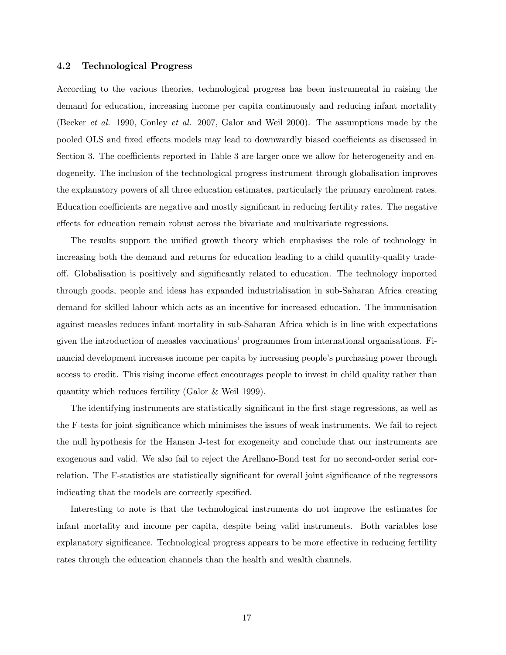## 4.2 Technological Progress

According to the various theories, technological progress has been instrumental in raising the demand for education, increasing income per capita continuously and reducing infant mortality (Becker et al. 1990, Conley et al. 2007, Galor and Weil 2000). The assumptions made by the pooled OLS and fixed effects models may lead to downwardly biased coefficients as discussed in Section 3. The coefficients reported in Table 3 are larger once we allow for heterogeneity and endogeneity. The inclusion of the technological progress instrument through globalisation improves the explanatory powers of all three education estimates, particularly the primary enrolment rates. Education coefficients are negative and mostly significant in reducing fertility rates. The negative effects for education remain robust across the bivariate and multivariate regressions.

The results support the unified growth theory which emphasises the role of technology in increasing both the demand and returns for education leading to a child quantity-quality tradeoff. Globalisation is positively and significantly related to education. The technology imported through goods, people and ideas has expanded industrialisation in sub-Saharan Africa creating demand for skilled labour which acts as an incentive for increased education. The immunisation against measles reduces infant mortality in sub-Saharan Africa which is in line with expectations given the introduction of measles vaccinations' programmes from international organisations. Financial development increases income per capita by increasing people's purchasing power through access to credit. This rising income effect encourages people to invest in child quality rather than quantity which reduces fertility (Galor & Weil 1999).

The identifying instruments are statistically significant in the first stage regressions, as well as the F-tests for joint significance which minimises the issues of weak instruments. We fail to reject the null hypothesis for the Hansen J-test for exogeneity and conclude that our instruments are exogenous and valid. We also fail to reject the Arellano-Bond test for no second-order serial correlation. The F-statistics are statistically significant for overall joint significance of the regressors indicating that the models are correctly specified.

Interesting to note is that the technological instruments do not improve the estimates for infant mortality and income per capita, despite being valid instruments. Both variables lose explanatory significance. Technological progress appears to be more effective in reducing fertility rates through the education channels than the health and wealth channels.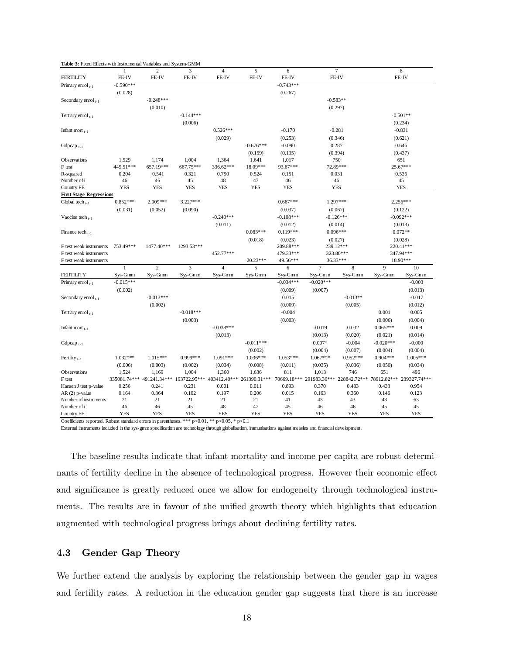| <b>Table 5:</b> Fixed Effects will historically arables and System-Givily |                  | $\overline{c}$                         | 3                       | $\overline{4}$            | 5             | 6                |                          | $\overline{7}$           |                        | 8            |  |
|---------------------------------------------------------------------------|------------------|----------------------------------------|-------------------------|---------------------------|---------------|------------------|--------------------------|--------------------------|------------------------|--------------|--|
| <b>FERTILITY</b>                                                          | FE-IV            | FE-IV                                  | FE-IV                   | FE-IV                     | FE-IV         | FE-IV            |                          | FE-IV                    |                        | FE-IV        |  |
| Primary enrol $_{t-1}$                                                    | $-0.590***$      |                                        |                         |                           |               | $-0.743***$      |                          |                          |                        |              |  |
|                                                                           | (0.028)          |                                        |                         |                           |               | (0.267)          |                          |                          |                        |              |  |
| Secondary enrol <sub>t-1</sub>                                            |                  | $-0.248***$                            |                         |                           |               |                  |                          | $-0.583**$               |                        |              |  |
|                                                                           |                  | (0.010)                                |                         |                           |               |                  |                          | (0.297)                  |                        |              |  |
| Tertiary enrol <sub>t-1</sub>                                             |                  |                                        | $-0.144***$             |                           |               |                  |                          |                          |                        | $-0.501**$   |  |
|                                                                           |                  |                                        | (0.006)                 |                           |               |                  |                          |                          |                        | (0.234)      |  |
|                                                                           |                  |                                        |                         | $0.526***$                |               |                  |                          |                          |                        | $-0.831$     |  |
| Infant mort $_{t-1}$                                                      |                  |                                        |                         |                           |               | $-0.170$         |                          | $-0.281$                 |                        |              |  |
|                                                                           |                  |                                        |                         | (0.029)                   |               | (0.253)          |                          | (0.346)                  |                        | (0.621)      |  |
| Gdpcap <sub>t-1</sub>                                                     |                  |                                        |                         |                           | $-0.676***$   | $-0.090$         |                          | 0.287                    |                        | 0.646        |  |
|                                                                           |                  |                                        |                         |                           | (0.159)       | (0.135)          |                          | (0.394)                  |                        | (0.437)      |  |
| Observations                                                              | 1,529            | 1,174                                  | 1,004                   | 1,364                     | 1,641         | 1,017            |                          | 750                      |                        | 651          |  |
| F test                                                                    | 445.51***        | 657.19***                              | 667.75***               | 336.62***                 | 18.09***      | 93.67***         |                          | 72.89***                 |                        | 25.67***     |  |
| R-squared                                                                 | 0.204            | 0.541<br>46                            | 0.321<br>45             | 0.790<br>48               | 0.524<br>47   | 0.151            |                          | 0.031                    |                        | 0.536<br>45  |  |
| Number of i                                                               | 46<br><b>YES</b> | <b>YES</b>                             | <b>YES</b>              | <b>YES</b>                | <b>YES</b>    | 46<br><b>YES</b> |                          | 46<br><b>YES</b>         |                        | <b>YES</b>   |  |
| Country FE<br><b>First Stage Regressions</b>                              |                  |                                        |                         |                           |               |                  |                          |                          |                        |              |  |
| Global tech $_{t-1}$                                                      | $0.852***$       | 2.009***                               | $3.227***$              |                           |               | $0.667***$       |                          | 1.297***                 |                        | $2.256***$   |  |
|                                                                           | (0.031)          | (0.052)                                | (0.090)                 |                           |               | (0.037)          |                          |                          |                        |              |  |
|                                                                           |                  |                                        |                         | $-0.240***$               |               | $-0.108***$      | (0.067)<br>$-0.126***$   |                          | (0.122)<br>$-0.092***$ |              |  |
| Vaccine tech $_{t-1}$                                                     |                  |                                        |                         |                           |               |                  |                          | (0.014)                  |                        |              |  |
|                                                                           |                  |                                        |                         | (0.011)                   |               | (0.012)          |                          |                          | (0.013)<br>$0.072**$   |              |  |
| Finance tech $_{t-1}$                                                     |                  |                                        |                         |                           | $0.083***$    | $0.119***$       |                          | $0.096***$               |                        |              |  |
|                                                                           |                  |                                        |                         |                           | (0.018)       | (0.023)          |                          | (0.027)                  | (0.028)                |              |  |
| F test weak instruments                                                   | 753.49***        | 1477.40***                             | 1293.53***              |                           |               | 209.88***        |                          | 239.12***                |                        | 220.41***    |  |
| F test weak instruments                                                   |                  |                                        |                         | 452.77***                 |               | 479.33***        |                          | 323.80***<br>36.33***    | 347.94***<br>18.90***  |              |  |
| F test weak instruments                                                   | $\mathbf{1}$     | $\overline{c}$                         | $\overline{\mathbf{3}}$ | $\overline{4}$            | 20.23***<br>5 | 49.56***         | $\overline{7}$           | 8                        | 9                      | 10           |  |
| <b>FERTILITY</b>                                                          | Sys-Gmm          | Sys-Gmm                                | Sys-Gmm                 | Sys-Gmm                   | Sys-Gmm       | 6<br>Sys-Gmm     | Sys-Gmm                  | Sys-Gmm                  | Sys-Gmm                | Sys-Gmm      |  |
| Primary enrol $_{t-1}$                                                    | $-0.015***$      |                                        |                         |                           |               | $-0.034***$      | $-0.020***$              |                          |                        | $-0.003$     |  |
|                                                                           | (0.002)          |                                        |                         |                           |               | (0.009)          | (0.007)                  |                          |                        | (0.013)      |  |
|                                                                           |                  | $-0.013***$                            |                         |                           |               |                  |                          |                          |                        |              |  |
| Secondary enrol <sub>t-1</sub>                                            |                  |                                        |                         |                           |               | 0.015            |                          | $-0.013**$               |                        | $-0.017$     |  |
|                                                                           |                  | (0.002)                                |                         |                           |               | (0.009)          |                          | (0.005)                  |                        | (0.012)      |  |
| Tertiary enrol <sub>t-1</sub>                                             |                  |                                        | $-0.018***$             |                           |               | $-0.004$         |                          |                          | 0.001                  | 0.005        |  |
|                                                                           |                  |                                        | (0.003)                 |                           |               | (0.003)          |                          |                          | (0.006)                | (0.004)      |  |
| Infant mort $_{t-1}$                                                      |                  |                                        |                         | $-0.038***$               |               |                  | $-0.019$                 | 0.032                    | $0.065***$             | 0.009        |  |
|                                                                           |                  |                                        |                         | (0.013)                   |               |                  | (0.013)                  | (0.020)                  | (0.021)                | (0.014)      |  |
| Gdpcap <sub><math>t-1</math></sub>                                        |                  |                                        |                         |                           | $-0.011***$   |                  | $0.007*$                 | $-0.004$                 | $-0.020***$            | $-0.000$     |  |
|                                                                           |                  |                                        |                         |                           | (0.002)       |                  | (0.004)                  | (0.007)                  | (0.004)                | (0.004)      |  |
| Fertility $_{t-1}$                                                        | $1.032***$       | 1.015***                               | 0.999***                | $1.091***$                | $1.036***$    | 1.053***         | 1.067***                 | $0.952***$               | $0.904***$             | 1.005***     |  |
|                                                                           | (0.006)          | (0.003)                                | (0.002)                 | (0.034)                   | (0.008)       | (0.011)          | (0.035)                  | (0.036)                  | (0.050)                | (0.034)      |  |
| Observations                                                              | 1,524            | 1,169                                  | 1,004                   | 1,360                     | 1,636         | 811              | 1,013                    | 746                      | 651                    | 496          |  |
| F test                                                                    |                  | 335081.74*** 491241.34*** 193722.95*** |                         | 403412.40*** 261390.31*** |               |                  | 70669.18*** 291983.36*** | 228842.72*** 78912.82*** |                        | 239327.74*** |  |
| Hansen J test p-value                                                     | 0.256            | 0.241                                  | 0.231                   | 0.001                     | 0.011         | 0.893            | 0.370                    | 0.483                    | 0.433                  | 0.954        |  |
| AR (2) p-value                                                            | 0.164            | 0.364                                  | 0.102                   | 0.197                     | 0.206         | 0.015            | 0.163                    | 0.360                    | 0.146                  | 0.123        |  |
| Number of instruments                                                     | 21               | 21                                     | 21                      | 21                        | 21            | 41               | 43                       | 43                       | 43                     | 63           |  |
| Number of i                                                               | 46               | 46                                     | 45                      | 48                        | 47            | 45               | 46                       | 46                       | 45                     | 45           |  |
| Country FE                                                                | <b>YES</b>       | <b>YES</b>                             | <b>YES</b>              | <b>YES</b>                | <b>YES</b>    | <b>YES</b>       | <b>YES</b>               | <b>YES</b>               | <b>YES</b>             | <b>YES</b>   |  |

Coefficients reported. Robust standard errors in parentheses. \*\*\* p<0.01, \*\* p<0.05, \* p<0.1

**Table 3:** Fixed Effects with Instrumental Variables and System-GMM

External instruments included in the sys-gmm specification are technology through globalisation, immunisations against measles and financial development.

The baseline results indicate that infant mortality and income per capita are robust determinants of fertility decline in the absence of technological progress. However their economic effect and significance is greatly reduced once we allow for endogeneity through technological instruments. The results are in favour of the unified growth theory which highlights that education augmented with technological progress brings about declining fertility rates.

## 4.3 Gender Gap Theory

We further extend the analysis by exploring the relationship between the gender gap in wages and fertility rates. A reduction in the education gender gap suggests that there is an increase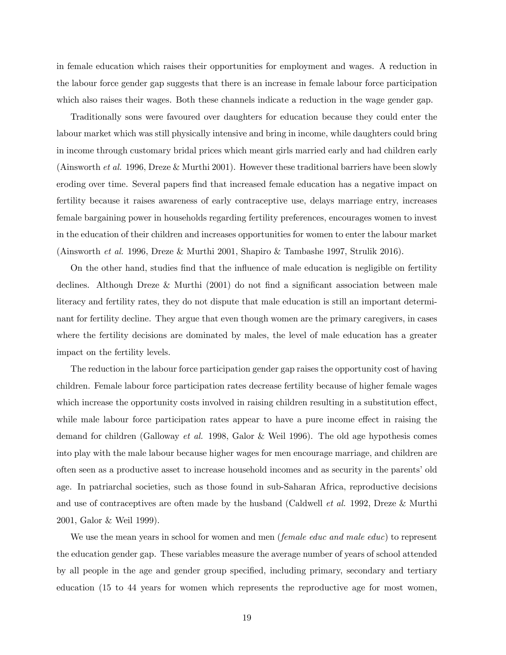in female education which raises their opportunities for employment and wages. A reduction in the labour force gender gap suggests that there is an increase in female labour force participation which also raises their wages. Both these channels indicate a reduction in the wage gender gap.

Traditionally sons were favoured over daughters for education because they could enter the labour market which was still physically intensive and bring in income, while daughters could bring in income through customary bridal prices which meant girls married early and had children early (Ainsworth et al. 1996, Dreze & Murthi 2001). However these traditional barriers have been slowly eroding over time. Several papers find that increased female education has a negative impact on fertility because it raises awareness of early contraceptive use, delays marriage entry, increases female bargaining power in households regarding fertility preferences, encourages women to invest in the education of their children and increases opportunities for women to enter the labour market (Ainsworth et al. 1996, Dreze & Murthi 2001, Shapiro & Tambashe 1997, Strulik 2016).

On the other hand, studies find that the influence of male education is negligible on fertility declines. Although Dreze & Murthi  $(2001)$  do not find a significant association between male literacy and fertility rates, they do not dispute that male education is still an important determinant for fertility decline. They argue that even though women are the primary caregivers, in cases where the fertility decisions are dominated by males, the level of male education has a greater impact on the fertility levels.

The reduction in the labour force participation gender gap raises the opportunity cost of having children. Female labour force participation rates decrease fertility because of higher female wages which increase the opportunity costs involved in raising children resulting in a substitution effect, while male labour force participation rates appear to have a pure income effect in raising the demand for children (Galloway et al. 1998, Galor & Weil 1996). The old age hypothesis comes into play with the male labour because higher wages for men encourage marriage, and children are often seen as a productive asset to increase household incomes and as security in the parentsíold age. In patriarchal societies, such as those found in sub-Saharan Africa, reproductive decisions and use of contraceptives are often made by the husband (Caldwell *et al.* 1992, Dreze & Murthi 2001, Galor & Weil 1999).

We use the mean years in school for women and men (*female educ and male educ*) to represent the education gender gap. These variables measure the average number of years of school attended by all people in the age and gender group specified, including primary, secondary and tertiary education (15 to 44 years for women which represents the reproductive age for most women,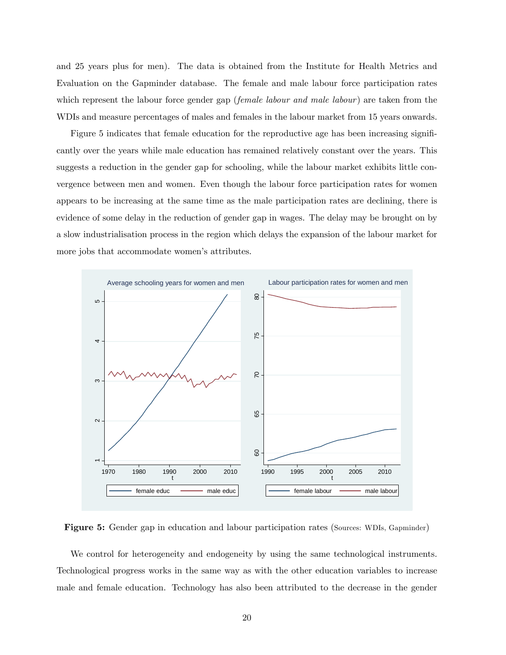and 25 years plus for men). The data is obtained from the Institute for Health Metrics and Evaluation on the Gapminder database. The female and male labour force participation rates which represent the labour force gender gap (*female labour and male labour*) are taken from the WDIs and measure percentages of males and females in the labour market from 15 years onwards.

Figure 5 indicates that female education for the reproductive age has been increasing significantly over the years while male education has remained relatively constant over the years. This suggests a reduction in the gender gap for schooling, while the labour market exhibits little convergence between men and women. Even though the labour force participation rates for women appears to be increasing at the same time as the male participation rates are declining, there is evidence of some delay in the reduction of gender gap in wages. The delay may be brought on by a slow industrialisation process in the region which delays the expansion of the labour market for more jobs that accommodate women's attributes.



Figure 5: Gender gap in education and labour participation rates (Sources: WDIs, Gapminder)

We control for heterogeneity and endogeneity by using the same technological instruments. Technological progress works in the same way as with the other education variables to increase male and female education. Technology has also been attributed to the decrease in the gender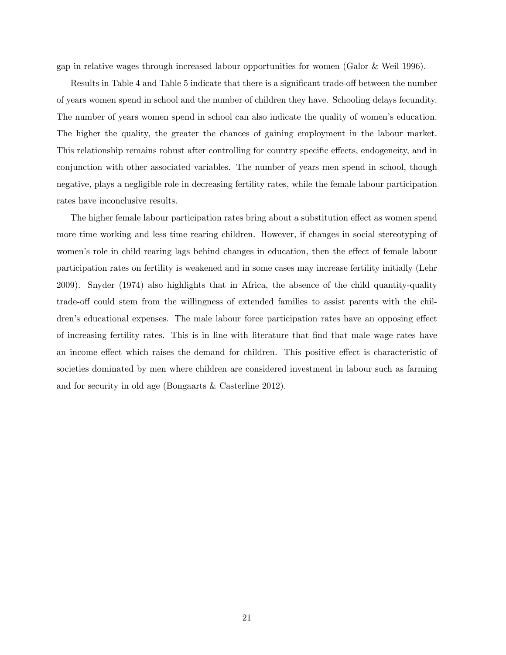gap in relative wages through increased labour opportunities for women (Galor & Weil 1996).

Results in Table 4 and Table 5 indicate that there is a significant trade-off between the number of years women spend in school and the number of children they have. Schooling delays fecundity. The number of years women spend in school can also indicate the quality of women's education. The higher the quality, the greater the chances of gaining employment in the labour market. This relationship remains robust after controlling for country specific effects, endogeneity, and in conjunction with other associated variables. The number of years men spend in school, though negative, plays a negligible role in decreasing fertility rates, while the female labour participation rates have inconclusive results.

The higher female labour participation rates bring about a substitution effect as women spend more time working and less time rearing children. However, if changes in social stereotyping of women's role in child rearing lags behind changes in education, then the effect of female labour participation rates on fertility is weakened and in some cases may increase fertility initially (Lehr 2009). Snyder (1974) also highlights that in Africa, the absence of the child quantity-quality trade-off could stem from the willingness of extended families to assist parents with the children's educational expenses. The male labour force participation rates have an opposing effect of increasing fertility rates. This is in line with literature that Önd that male wage rates have an income effect which raises the demand for children. This positive effect is characteristic of societies dominated by men where children are considered investment in labour such as farming and for security in old age (Bongaarts & Casterline 2012).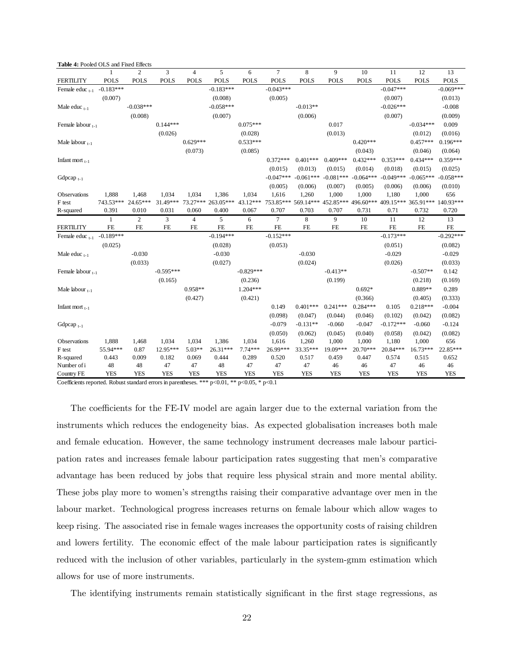| Table 4: Pooled OLS and Fixed Effects |                    |                |             |                |                    |             |                |             |                                                                       |             |             |             |             |
|---------------------------------------|--------------------|----------------|-------------|----------------|--------------------|-------------|----------------|-------------|-----------------------------------------------------------------------|-------------|-------------|-------------|-------------|
|                                       | 1                  | $\overline{c}$ | 3           | $\overline{4}$ | 5                  | 6           | $\overline{7}$ | 8           | 9                                                                     | 10          | 11          | 12          | 13          |
| <b>FERTILITY</b>                      | <b>POLS</b>        | <b>POLS</b>    | <b>POLS</b> | <b>POLS</b>    | <b>POLS</b>        | <b>POLS</b> | <b>POLS</b>    | <b>POLS</b> | <b>POLS</b>                                                           | <b>POLS</b> | <b>POLS</b> | <b>POLS</b> | <b>POLS</b> |
| Female educ $_{t-1}$                  | $-0.183***$        |                |             |                | $-0.183***$        |             | $-0.043***$    |             |                                                                       |             | $-0.047***$ |             | $-0.069***$ |
|                                       | (0.007)            |                |             |                | (0.008)            |             | (0.005)        |             |                                                                       |             | (0.007)     |             | (0.013)     |
| Male educ $_{t-1}$                    |                    | $-0.038***$    |             |                | $-0.058***$        |             |                | $-0.013**$  |                                                                       |             | $-0.026***$ |             | $-0.008$    |
|                                       |                    | (0.008)        |             |                | (0.007)            |             |                | (0.006)     |                                                                       |             | (0.007)     |             | (0.009)     |
| Female labour $_{t-1}$                |                    |                | $0.144***$  |                |                    | $0.075***$  |                |             | 0.017                                                                 |             |             | $-0.034***$ | 0.009       |
|                                       |                    |                | (0.026)     |                |                    | (0.028)     |                |             | (0.013)                                                               |             |             | (0.012)     | (0.016)     |
| Male labour $_{t-1}$                  |                    |                |             | $0.629***$     |                    | $0.533***$  |                |             |                                                                       | $0.420***$  |             | $0.457***$  | $0.196***$  |
|                                       |                    |                |             | (0.073)        |                    | (0.085)     |                |             |                                                                       | (0.043)     |             | (0.046)     | (0.064)     |
| Infant mort $_{t-1}$                  |                    |                |             |                |                    |             | $0.372***$     | $0.401***$  | $0.409***$                                                            | $0.432***$  | $0.353***$  | $0.434***$  | $0.359***$  |
|                                       |                    |                |             |                |                    |             | (0.015)        | (0.013)     | (0.015)                                                               | (0.014)     | (0.018)     | (0.015)     | (0.025)     |
| Gdpcap <sub><math>t-1</math></sub>    |                    |                |             |                |                    |             | $-0.047***$    | $-0.061***$ | $-0.081***$                                                           | $-0.064***$ | $-0.049***$ | $-0.065***$ | $-0.058***$ |
|                                       |                    |                |             |                |                    |             | (0.005)        | (0.006)     | (0.007)                                                               | (0.005)     | (0.006)     | (0.006)     | (0.010)     |
| Observations                          | 1,888              | 1,468          | 1,034       | 1,034          | 1,386              | 1,034       | 1,616          | 1,260       | 1,000                                                                 | 1,000       | 1,180       | 1,000       | 656         |
| F test                                | 743.53*** 24.65*** |                | 31.49***    |                | 73.27*** 263.05*** | 43.12***    |                |             | 753.85*** 569.14*** 452.85*** 496.60*** 409.15*** 365.91*** 140.93*** |             |             |             |             |
| R-squared                             | 0.391              | 0.010          | 0.031       | 0.060          | 0.400              | 0.067       | 0.707          | 0.703       | 0.707                                                                 | 0.731       | 0.71        | 0.732       | 0.720       |
|                                       | 1                  | $\overline{c}$ | 3           | $\overline{4}$ | 5                  | 6           | 7              | 8           | 9                                                                     | 10          | 11          | 12          | 13          |
| <b>FERTILITY</b>                      | <b>FE</b>          | <b>FE</b>      | $\rm FE$    | <b>FE</b>      | <b>FE</b>          | <b>FE</b>   | $\rm FE$       | <b>FE</b>   | <b>FE</b>                                                             | <b>FE</b>   | $\rm FE$    | <b>FE</b>   | $\rm FE$    |
| Female educ $_{t-1}$                  | $-0.189***$        |                |             |                | $-0.194***$        |             | $-0.152***$    |             |                                                                       |             | $-0.173***$ |             | $-0.292***$ |
|                                       | (0.025)            |                |             |                | (0.028)            |             | (0.053)        |             |                                                                       |             | (0.051)     |             | (0.082)     |
| Male educ $_{t-1}$                    |                    | $-0.030$       |             |                | $-0.030$           |             |                | $-0.030$    |                                                                       |             | $-0.029$    |             | $-0.029$    |
|                                       |                    | (0.033)        |             |                | (0.027)            |             |                | (0.024)     |                                                                       |             | (0.026)     |             | (0.033)     |
| Female labour $_{t-1}$                |                    |                | $-0.595***$ |                |                    | $-0.829***$ |                |             | $-0.413**$                                                            |             |             | $-0.507**$  | 0.142       |
|                                       |                    |                | (0.165)     |                |                    | (0.236)     |                |             | (0.199)                                                               |             |             | (0.218)     | (0.169)     |
| Male labour $_{t-1}$                  |                    |                |             | $0.958**$      |                    | $1.204***$  |                |             |                                                                       | $0.692*$    |             | 0.889**     | 0.289       |
|                                       |                    |                |             | (0.427)        |                    | (0.421)     |                |             |                                                                       | (0.366)     |             | (0.405)     | (0.333)     |
| Infant mort $_{t-1}$                  |                    |                |             |                |                    |             | 0.149          | $0.401***$  | $0.241***$                                                            | $0.284***$  | 0.105       | $0.218***$  | $-0.004$    |
|                                       |                    |                |             |                |                    |             | (0.098)        | (0.047)     | (0.044)                                                               | (0.046)     | (0.102)     | (0.042)     | (0.082)     |
| Gdpcap <sub><math>t-1</math></sub>    |                    |                |             |                |                    |             | $-0.079$       | $-0.131**$  | $-0.060$                                                              | $-0.047$    | $-0.172***$ | $-0.060$    | $-0.124$    |
|                                       |                    |                |             |                |                    |             | (0.050)        | (0.062)     | (0.045)                                                               | (0.040)     | (0.058)     | (0.042)     | (0.082)     |
| Observations                          | 1,888              | 1,468          | 1,034       | 1,034          | 1,386              | 1,034       | 1,616          | 1,260       | 1,000                                                                 | 1,000       | 1,180       | 1,000       | 656         |
| F test                                | 55.94***           | 0.87           | 12.95***    | $5.03**$       | 26.31***           | $7.74***$   | 26.99***       | 33.35***    | 19.09***                                                              | 20.70***    | 20.84***    | 16.73***    | 22.85***    |
| R-squared                             | 0.443              | 0.009          | 0.182       | 0.069          | 0.444              | 0.289       | 0.520          | 0.517       | 0.459                                                                 | 0.447       | 0.574       | 0.515       | 0.652       |
| Number of i                           | 48                 | 48             | 47          | 47             | 48                 | 47          | 47             | 47          | 46                                                                    | 46          | 47          | 46          | 46          |
| Country FE                            | <b>YES</b>         | <b>YES</b>     | <b>YES</b>  | <b>YES</b>     | <b>YES</b>         | <b>YES</b>  | <b>YES</b>     | <b>YES</b>  | <b>YES</b>                                                            | <b>YES</b>  | <b>YES</b>  | <b>YES</b>  | <b>YES</b>  |

Coefficients reported. Robust standard errors in parentheses. \*\*\* p<0.01, \*\* p<0.05, \* p<0.1

The coefficients for the FE-IV model are again larger due to the external variation from the instruments which reduces the endogeneity bias. As expected globalisation increases both male and female education. However, the same technology instrument decreases male labour participation rates and increases female labour participation rates suggesting that menís comparative advantage has been reduced by jobs that require less physical strain and more mental ability. These jobs play more to women's strengths raising their comparative advantage over men in the labour market. Technological progress increases returns on female labour which allow wages to keep rising. The associated rise in female wages increases the opportunity costs of raising children and lowers fertility. The economic effect of the male labour participation rates is significantly reduced with the inclusion of other variables, particularly in the system-gmm estimation which allows for use of more instruments.

The identifying instruments remain statistically significant in the first stage regressions, as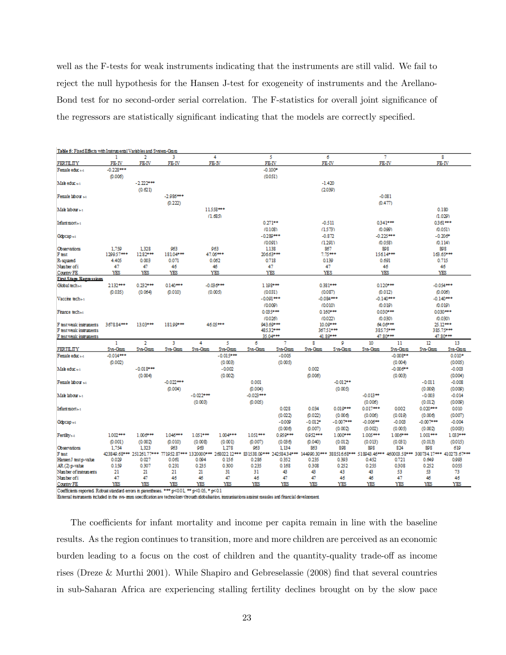well as the F-tests for weak instruments indicating that the instruments are still valid. We fail to reject the null hypothesis for the Hansen J-test for exogeneity of instruments and the Arellano-Bond test for no second-order serial correlation. The F-statistics for overall joint significance of the regressors are statistically significant indicating that the models are correctly specified.

| Table 5: Fixed Effects with Instrumental Variables and System-Gmm                          |                        |                  |                 |             |                 |             |                        |              |                         |                     |                        |                                                                                                                                                                              |                       |  |
|--------------------------------------------------------------------------------------------|------------------------|------------------|-----------------|-------------|-----------------|-------------|------------------------|--------------|-------------------------|---------------------|------------------------|------------------------------------------------------------------------------------------------------------------------------------------------------------------------------|-----------------------|--|
|                                                                                            | 1                      | $\overline{2}$   | 3               |             | 4               |             | 5                      |              | 6                       |                     | 7                      |                                                                                                                                                                              | 8                     |  |
| FERTILITY                                                                                  | FE-IV                  | FE-IV            | FE-IV           |             | FE-IV           |             | FE-IV                  |              | FE-IV                   |                     | FE-IV                  |                                                                                                                                                                              | FE-IV                 |  |
| Female educ +-1                                                                            | $-0.228***$<br>(0.006) |                  |                 |             |                 |             | $-0.100*$<br>(0.051)   |              |                         |                     |                        |                                                                                                                                                                              |                       |  |
| Male educ <sub>to</sub>                                                                    |                        | $-2.222***$      |                 |             |                 |             |                        |              | $-1.420$                |                     |                        |                                                                                                                                                                              |                       |  |
|                                                                                            |                        | (0.621)          |                 |             |                 |             |                        |              | (2039)                  |                     |                        |                                                                                                                                                                              |                       |  |
| Female labour 64                                                                           |                        |                  | $-2.986***$     |             |                 |             |                        |              |                         |                     | $-0.081$               |                                                                                                                                                                              |                       |  |
|                                                                                            |                        |                  | (0.222)         |             |                 |             |                        |              |                         |                     | (0.477)                |                                                                                                                                                                              |                       |  |
| Mab labour <sub>8-1</sub>                                                                  |                        |                  |                 |             | 11558***        |             |                        |              |                         |                     |                        |                                                                                                                                                                              | 0.180                 |  |
|                                                                                            |                        |                  |                 |             | (1.685)         |             |                        |              |                         |                     |                        |                                                                                                                                                                              | (1.029)               |  |
| Infantmort <sub>6-1</sub>                                                                  |                        |                  |                 |             |                 |             | $0.271***$             |              | $-0.511$                |                     | 0.341***               |                                                                                                                                                                              | 0.361***              |  |
|                                                                                            |                        |                  |                 |             |                 |             |                        |              | (1.573)                 |                     |                        |                                                                                                                                                                              | (0.051)               |  |
|                                                                                            |                        |                  |                 |             |                 |             | (0.108)<br>$-0.289***$ |              |                         |                     | (0.099)<br>$-0.225***$ |                                                                                                                                                                              | $-0.206*$             |  |
| Gdpcap +1                                                                                  |                        |                  |                 |             |                 |             |                        |              | $-0.872$                |                     |                        |                                                                                                                                                                              |                       |  |
|                                                                                            |                        |                  |                 |             |                 |             | (0.091)                |              | (1.291)                 |                     | (0.058)                |                                                                                                                                                                              | (0.114)               |  |
| <b>Observations</b>                                                                        | 1.759<br>1299.57***    | 1.328<br>1282*** | 963<br>18104*** |             | 963<br>47.06*** |             | 1138<br>206.63***      |              | 867<br>$7.75***$        |                     | 898<br>15614***        |                                                                                                                                                                              | 898<br>163.65***      |  |
| F test<br>R-squared                                                                        | 4.405                  | 0.003            | 0.071           |             | 0.062           |             | 0.718                  |              | 0.139                   |                     | 0.691                  |                                                                                                                                                                              | 0.715                 |  |
| Number of i                                                                                | 47                     | 47               | 46              |             | 46              |             | 47                     |              | 47                      |                     | 46                     |                                                                                                                                                                              | 46                    |  |
| Country FE                                                                                 | YES                    | YES              | YES             |             | YES             |             | YES                    |              | YES                     |                     | YES                    |                                                                                                                                                                              | YES                   |  |
| <b>First Stage Regis ssions</b>                                                            |                        |                  |                 |             |                 |             |                        |              |                         |                     |                        |                                                                                                                                                                              |                       |  |
| Global tech sa                                                                             | 2132***                | $0.232***$       | $0.140***$      |             | $-0.036***$     |             |                        |              |                         |                     | 0.120***               | $-0.054***$                                                                                                                                                                  |                       |  |
|                                                                                            | (0.035)                | (0.064)          | (0.010)         |             | (0.005)         |             | 1.198***<br>(0.031)    |              | 0.381***                |                     | (0.012)                | (0.006)                                                                                                                                                                      |                       |  |
| Vacche tech+1                                                                              |                        |                  |                 |             |                 |             |                        |              | (0.087)                 |                     |                        |                                                                                                                                                                              |                       |  |
|                                                                                            |                        |                  |                 |             |                 |             | $-0.091***$            |              | $-0.084***$             |                     | $-0.140***$<br>(0.019) |                                                                                                                                                                              | $-0.140***$           |  |
|                                                                                            |                        |                  |                 |             |                 |             | (0.009)                |              | (0.010)                 |                     |                        | (0.019)                                                                                                                                                                      |                       |  |
| France tech <sub>61</sub>                                                                  |                        |                  |                 |             |                 |             | 0.035***<br>0.160***   |              |                         | 0.030***            |                        | 0.030***<br>(0.030)                                                                                                                                                          |                       |  |
|                                                                                            |                        |                  |                 |             |                 |             | (0.026)                |              | (0.022)                 | (0.030)<br>64.06*** |                        |                                                                                                                                                                              |                       |  |
| F test weak instruments<br>F test weak instruments                                         | 3678.84***             | 13.03***         | 18199***        |             | 46.05***        |             | 943.69***<br>485.32*** |              | $10.09***$<br>367.51*** |                     | 385.75***              |                                                                                                                                                                              | 25.12***<br>385.75*** |  |
| F test weak instruments                                                                    |                        |                  |                 |             |                 |             | 35.04***               |              | 41.89***                | 47.80***            |                        |                                                                                                                                                                              | 47.80***              |  |
|                                                                                            | 1                      | $\overline{2}$   | 3               | 4           | 5               | 6           | 7                      |              | 9                       | 10                  | 11                     | $12^{\circ}$                                                                                                                                                                 | 13                    |  |
| <b>FERTILITY</b>                                                                           | Sys-Gmm                | Sys-Gmm          | Sys-Gmm         | Sys-Gmm     | Sys-Gmm         | Sys-Gmm     | Sys-Gmm                | 8<br>Sys-Gmm | Sys-Gmm                 | Sys-Gmm             | Sys-Gmm                | Sys-Gmm                                                                                                                                                                      | Sys-Gmm               |  |
| Female educ +-1                                                                            | $-0.014***$            |                  |                 |             | $-0.015***$     |             | $-0.005$               |              |                         |                     | $-0.008***$            |                                                                                                                                                                              | $0.010*$              |  |
|                                                                                            | (0.002)                |                  |                 |             | (0.003)         |             | (0.005)                |              |                         |                     | (0.004)                |                                                                                                                                                                              | (0.005)               |  |
| Male educ +1                                                                               |                        | $-0.018***$      |                 |             | $-0.002$        |             |                        | 0.002        |                         |                     | $-0.006***$            |                                                                                                                                                                              | $-0.003$              |  |
|                                                                                            |                        | (0.004)          |                 |             | (0.002)         |             |                        | (0.006)      |                         |                     | (0.003)                |                                                                                                                                                                              | (0.004)               |  |
| Female labour sa                                                                           |                        |                  | $-0.022***$     |             |                 | 0.001       |                        |              | $-0.012**$              |                     |                        | $-0.011$                                                                                                                                                                     | $-0.008$              |  |
|                                                                                            |                        |                  | (0.004)         |             |                 | (0.004)     |                        |              | (0.005)                 |                     |                        | (0.009)                                                                                                                                                                      | (0.009)               |  |
| Mah labour <sub>8-1</sub>                                                                  |                        |                  |                 | $-0.022***$ |                 | $-0.023***$ |                        |              |                         | $-0.013**$          |                        | $-0.003$                                                                                                                                                                     | $-0.014$              |  |
|                                                                                            |                        |                  |                 | (0.003)     |                 | (0.005)     |                        |              |                         | (0.006)             |                        | (0.012)                                                                                                                                                                      | (0.009)               |  |
| Infantmort <sub>6-1</sub>                                                                  |                        |                  |                 |             |                 |             | 0.028                  | 0.034        | $0.019***$              | $0.017***$          | 0.002                  | $0.020***$                                                                                                                                                                   | 0.010                 |  |
|                                                                                            |                        |                  |                 |             |                 |             |                        |              |                         |                     |                        |                                                                                                                                                                              |                       |  |
|                                                                                            |                        |                  |                 |             |                 |             | (0.022)                | (0.022)      | (0.006)                 | (0.006)             | (0.019)                | (0.006)                                                                                                                                                                      | (0.007)               |  |
| Gdpcap <sub>1</sub> -1                                                                     |                        |                  |                 |             |                 |             | $-0.009$               | $-0.012*$    | $-0.007***$             | $-0.006***$         | $-0.003$               | $-0.007***$                                                                                                                                                                  | $-0.004$              |  |
|                                                                                            |                        |                  |                 |             |                 |             | (0.006)                | (0.007)      | (0.002)                 | (0.002)             | (0.005)                | (0.002)                                                                                                                                                                      | (0.003)               |  |
| Fertility <sub>t-1</sub>                                                                   | $1002***$              | $1.006***$       | 1.046***        | $1.051***$  | $1.004***$      | $1051***$   | 0.959***               | 0.952***     | $1.000***$              | $1.005***$          | 1.006***               | $1.001***$                                                                                                                                                                   | 1.033***              |  |
|                                                                                            | (0.001)                | (0.002)          | (0.010)         | (0.008)     | (0.001)         | (0.007)     | (0.036)                | (0.040)      | (0.012)                 | (0.013)             | (0.031)                | (0.013)                                                                                                                                                                      | (0.015)               |  |
| Observations                                                                               | 1.754                  | 1.323            | 963             | 963         | 1.278           | 963         | 1.134                  | 863          | 898                     | 898                 | 824                    | 898                                                                                                                                                                          | 619                   |  |
| F test                                                                                     | 0.029                  | 0.027            | 0.061           | 0.094       | 0.156           | 0.286       | 0.352                  | 0.235        | 0.393                   | 0.452               | 0.721                  | 413849.68*** 25126177*** 771952.87*** 1320000*** 268022 12*** 831538.09*** 24258434*** 144990.30*** 38851668*** 518943.45*** 460003.58*** 300734 17*** 410273.67***<br>0.649 | 0.993                 |  |
| Hansen J test p-value                                                                      | 0.159                  | 0.307            | 0.231           | 0.235       | 0.300           | 0.235       | 0.168                  | 0.308        | 0.252                   | 0.255               | 0.308                  | 0.252                                                                                                                                                                        | 0.055                 |  |
| AR (2) p-value<br>Number of instruments                                                    | 21                     | 21               | 21              | 21          | 31              | 31          | 43                     | 43           | 43                      | 43                  | 53                     | 53                                                                                                                                                                           | 73                    |  |
| Number of i                                                                                | 47                     | 47               | 46              | 46          | 47              | 46          | 47                     | 47           | 46                      | 46                  | 47                     | 46                                                                                                                                                                           | 46                    |  |
| Country FE                                                                                 | YES                    | YES              | YES             | YES         | YES             | YES         | YES                    | YES          | YES                     | YES                 | YES                    | YES                                                                                                                                                                          | YES                   |  |
| Coefficients reported. Robust standard errors in parentheses, *** n<0.01 ** n<0.05 * n<0.1 |                        |                  |                 |             |                 |             |                        |              |                         |                     |                        |                                                                                                                                                                              |                       |  |

External instruments included in the sys-gram specification are technology (frough globalisation, immunisations against measles and financial development.

The coefficients for infant mortality and income per capita remain in line with the baseline results. As the region continues to transition, more and more children are perceived as an economic burden leading to a focus on the cost of children and the quantity-quality trade-off as income rises (Dreze & Murthi 2001). While Shapiro and Gebreselassie  $(2008)$  find that several countries in sub-Saharan Africa are experiencing stalling fertility declines brought on by the slow pace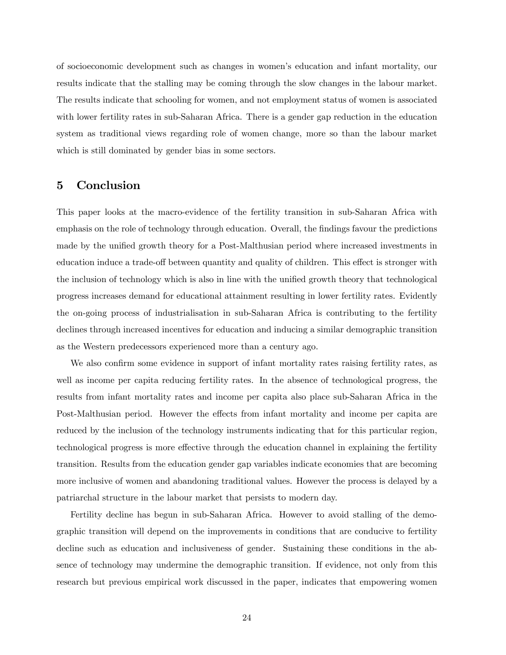of socioeconomic development such as changes in womenís education and infant mortality, our results indicate that the stalling may be coming through the slow changes in the labour market. The results indicate that schooling for women, and not employment status of women is associated with lower fertility rates in sub-Saharan Africa. There is a gender gap reduction in the education system as traditional views regarding role of women change, more so than the labour market which is still dominated by gender bias in some sectors.

## 5 Conclusion

This paper looks at the macro-evidence of the fertility transition in sub-Saharan Africa with emphasis on the role of technology through education. Overall, the findings favour the predictions made by the unified growth theory for a Post-Malthusian period where increased investments in education induce a trade-off between quantity and quality of children. This effect is stronger with the inclusion of technology which is also in line with the unified growth theory that technological progress increases demand for educational attainment resulting in lower fertility rates. Evidently the on-going process of industrialisation in sub-Saharan Africa is contributing to the fertility declines through increased incentives for education and inducing a similar demographic transition as the Western predecessors experienced more than a century ago.

We also confirm some evidence in support of infant mortality rates raising fertility rates, as well as income per capita reducing fertility rates. In the absence of technological progress, the results from infant mortality rates and income per capita also place sub-Saharan Africa in the Post-Malthusian period. However the effects from infant mortality and income per capita are reduced by the inclusion of the technology instruments indicating that for this particular region, technological progress is more effective through the education channel in explaining the fertility transition. Results from the education gender gap variables indicate economies that are becoming more inclusive of women and abandoning traditional values. However the process is delayed by a patriarchal structure in the labour market that persists to modern day.

Fertility decline has begun in sub-Saharan Africa. However to avoid stalling of the demographic transition will depend on the improvements in conditions that are conducive to fertility decline such as education and inclusiveness of gender. Sustaining these conditions in the absence of technology may undermine the demographic transition. If evidence, not only from this research but previous empirical work discussed in the paper, indicates that empowering women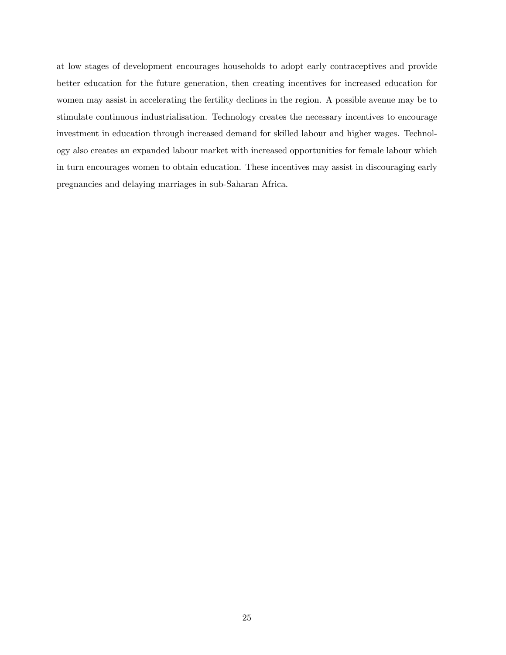at low stages of development encourages households to adopt early contraceptives and provide better education for the future generation, then creating incentives for increased education for women may assist in accelerating the fertility declines in the region. A possible avenue may be to stimulate continuous industrialisation. Technology creates the necessary incentives to encourage investment in education through increased demand for skilled labour and higher wages. Technology also creates an expanded labour market with increased opportunities for female labour which in turn encourages women to obtain education. These incentives may assist in discouraging early pregnancies and delaying marriages in sub-Saharan Africa.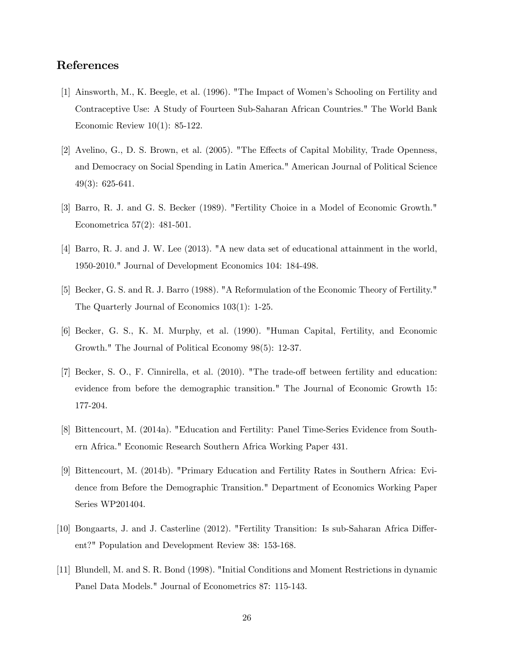## References

- [1] Ainsworth, M., K. Beegle, et al. (1996). "The Impact of Womenís Schooling on Fertility and Contraceptive Use: A Study of Fourteen Sub-Saharan African Countries." The World Bank Economic Review 10(1): 85-122.
- [2] Avelino, G., D. S. Brown, et al. (2005). "The Effects of Capital Mobility, Trade Openness, and Democracy on Social Spending in Latin America." American Journal of Political Science 49(3): 625-641.
- [3] Barro, R. J. and G. S. Becker (1989). "Fertility Choice in a Model of Economic Growth." Econometrica 57(2): 481-501.
- [4] Barro, R. J. and J. W. Lee (2013). "A new data set of educational attainment in the world, 1950-2010." Journal of Development Economics 104: 184-498.
- [5] Becker, G. S. and R. J. Barro (1988). "A Reformulation of the Economic Theory of Fertility." The Quarterly Journal of Economics 103(1): 1-25.
- [6] Becker, G. S., K. M. Murphy, et al. (1990). "Human Capital, Fertility, and Economic Growth." The Journal of Political Economy 98(5): 12-37.
- [7] Becker, S. O., F. Cinnirella, et al. (2010). "The trade-off between fertility and education: evidence from before the demographic transition." The Journal of Economic Growth 15: 177-204.
- [8] Bittencourt, M. (2014a). "Education and Fertility: Panel Time-Series Evidence from Southern Africa." Economic Research Southern Africa Working Paper 431.
- [9] Bittencourt, M. (2014b). "Primary Education and Fertility Rates in Southern Africa: Evidence from Before the Demographic Transition." Department of Economics Working Paper Series WP201404.
- [10] Bongaarts, J. and J. Casterline (2012). "Fertility Transition: Is sub-Saharan Africa Different?" Population and Development Review 38: 153-168.
- [11] Blundell, M. and S. R. Bond (1998). "Initial Conditions and Moment Restrictions in dynamic Panel Data Models." Journal of Econometrics 87: 115-143.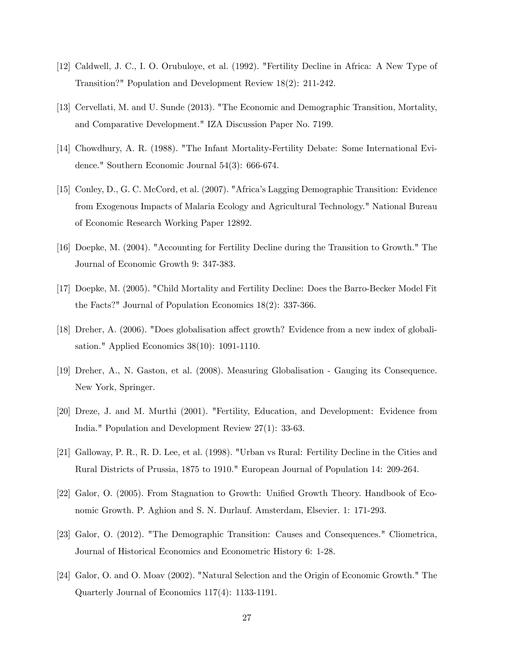- [12] Caldwell, J. C., I. O. Orubuloye, et al. (1992). "Fertility Decline in Africa: A New Type of Transition?" Population and Development Review 18(2): 211-242.
- [13] Cervellati, M. and U. Sunde (2013). "The Economic and Demographic Transition, Mortality, and Comparative Development." IZA Discussion Paper No. 7199.
- [14] Chowdhury, A. R. (1988). "The Infant Mortality-Fertility Debate: Some International Evidence." Southern Economic Journal 54(3): 666-674.
- [15] Conley, D., G. C. McCord, et al. (2007). "Africaís Lagging Demographic Transition: Evidence from Exogenous Impacts of Malaria Ecology and Agricultural Technology." National Bureau of Economic Research Working Paper 12892.
- [16] Doepke, M. (2004). "Accounting for Fertility Decline during the Transition to Growth." The Journal of Economic Growth 9: 347-383.
- [17] Doepke, M. (2005). "Child Mortality and Fertility Decline: Does the Barro-Becker Model Fit the Facts?" Journal of Population Economics 18(2): 337-366.
- [18] Dreher, A. (2006). "Does globalisation affect growth? Evidence from a new index of globalisation." Applied Economics 38(10): 1091-1110.
- [19] Dreher, A., N. Gaston, et al. (2008). Measuring Globalisation Gauging its Consequence. New York, Springer.
- [20] Dreze, J. and M. Murthi (2001). "Fertility, Education, and Development: Evidence from India." Population and Development Review 27(1): 33-63.
- [21] Galloway, P. R., R. D. Lee, et al. (1998). "Urban vs Rural: Fertility Decline in the Cities and Rural Districts of Prussia, 1875 to 1910." European Journal of Population 14: 209-264.
- [22] Galor, O. (2005). From Stagnation to Growth: Unified Growth Theory. Handbook of Economic Growth. P. Aghion and S. N. Durlauf. Amsterdam, Elsevier. 1: 171-293.
- [23] Galor, O. (2012). "The Demographic Transition: Causes and Consequences." Cliometrica, Journal of Historical Economics and Econometric History 6: 1-28.
- [24] Galor, O. and O. Moav (2002). "Natural Selection and the Origin of Economic Growth." The Quarterly Journal of Economics 117(4): 1133-1191.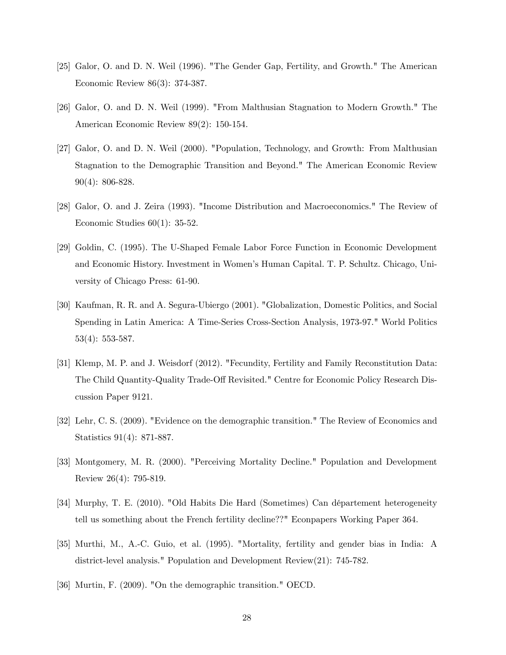- [25] Galor, O. and D. N. Weil (1996). "The Gender Gap, Fertility, and Growth." The American Economic Review 86(3): 374-387.
- [26] Galor, O. and D. N. Weil (1999). "From Malthusian Stagnation to Modern Growth." The American Economic Review 89(2): 150-154.
- [27] Galor, O. and D. N. Weil (2000). "Population, Technology, and Growth: From Malthusian Stagnation to the Demographic Transition and Beyond." The American Economic Review 90(4): 806-828.
- [28] Galor, O. and J. Zeira (1993). "Income Distribution and Macroeconomics." The Review of Economic Studies 60(1): 35-52.
- [29] Goldin, C. (1995). The U-Shaped Female Labor Force Function in Economic Development and Economic History. Investment in Womenís Human Capital. T. P. Schultz. Chicago, University of Chicago Press: 61-90.
- [30] Kaufman, R. R. and A. Segura-Ubiergo (2001). "Globalization, Domestic Politics, and Social Spending in Latin America: A Time-Series Cross-Section Analysis, 1973-97." World Politics 53(4): 553-587.
- [31] Klemp, M. P. and J. Weisdorf (2012). "Fecundity, Fertility and Family Reconstitution Data: The Child Quantity-Quality Trade-Off Revisited." Centre for Economic Policy Research Discussion Paper 9121.
- [32] Lehr, C. S. (2009). "Evidence on the demographic transition." The Review of Economics and Statistics 91(4): 871-887.
- [33] Montgomery, M. R. (2000). "Perceiving Mortality Decline." Population and Development Review 26(4): 795-819.
- [34] Murphy, T. E. (2010). "Old Habits Die Hard (Sometimes) Can département heterogeneity tell us something about the French fertility decline??" Econpapers Working Paper 364.
- [35] Murthi, M., A.-C. Guio, et al. (1995). "Mortality, fertility and gender bias in India: A district-level analysis." Population and Development Review(21): 745-782.
- [36] Murtin, F. (2009). "On the demographic transition." OECD.